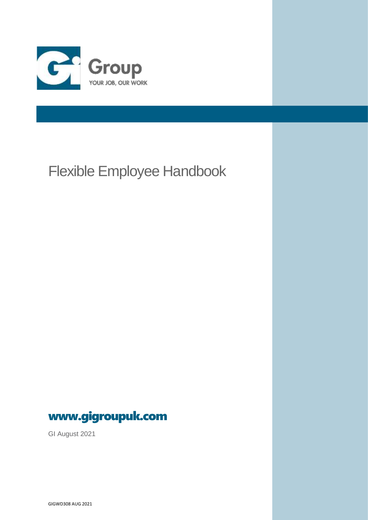

# Flexible Employee Handbook



GI August 2021

GIGWD308 AUG 2021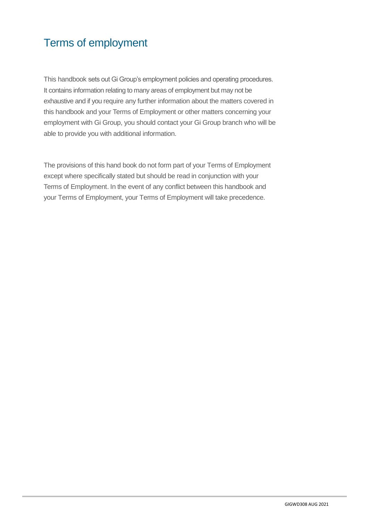# Terms of employment

This handbook sets out Gi Group's employment policies and operating procedures. It contains information relating to many areas of employment but may not be exhaustive and if you require any further information about the matters covered in this handbook and your Terms of Employment or other matters concerning your employment with Gi Group, you should contact your Gi Group branch who will be able to provide you with additional information.

The provisions of this hand book do not form part of your Terms of Employment except where specifically stated but should be read in conjunction with your Terms of Employment. In the event of any conflict between this handbook and your Terms of Employment, your Terms of Employment will take precedence.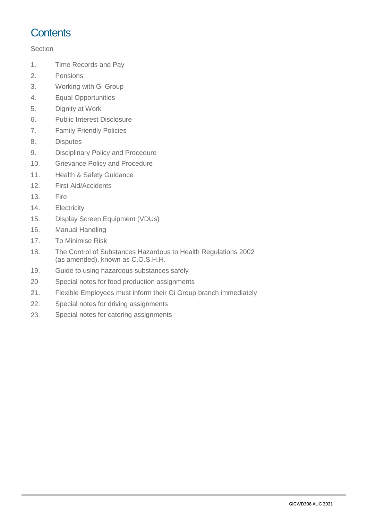## **Contents**

### **Section**

- 1. Time Records and Pay
- 2. Pensions
- 3. Working with Gi Group
- 4. Equal Opportunities
- 5. Dignity at Work
- 6. Public Interest Disclosure
- 7. Family Friendly Policies
- 8. Disputes
- 9. Disciplinary Policy and Procedure
- 10. Grievance Policy and Procedure
- 11. Health & Safety Guidance
- 12. First Aid/Accidents
- 13. Fire
- 14. Electricity
- 15. Display Screen Equipment (VDUs)
- 16. Manual Handling
- 17. To Minimise Risk
- 18. The Control of Substances Hazardous to Health Regulations 2002 (as amended), known as C.O.S.H.H.
- 19. Guide to using hazardous substances safely
- 20 Special notes for food production assignments
- 21. Flexible Employees must inform their Gi Group branch immediately
- 22. Special notes for driving assignments
- 23. Special notes for catering assignments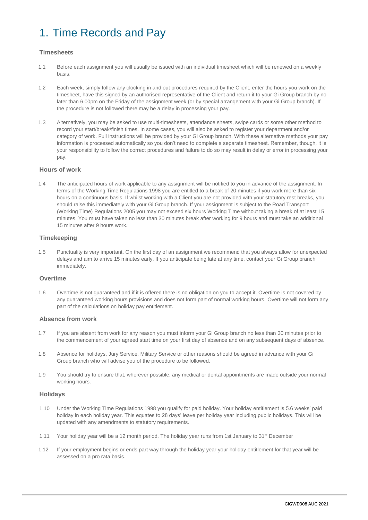# 1. Time Records and Pay

### **Timesheets**

- 1.1 Before each assignment you will usually be issued with an individual timesheet which will be renewed on a weekly basis.
- 1.2 Each week, simply follow any clocking in and out procedures required by the Client, enter the hours you work on the timesheet, have this signed by an authorised representative of the Client and return it to your Gi Group branch by no later than 6.00pm on the Friday of the assignment week (or by special arrangement with your Gi Group branch). If the procedure is not followed there may be a delay in processing your pay.
- 1.3 Alternatively, you may be asked to use multi-timesheets, attendance sheets, swipe cards or some other method to record your start/break/finish times. In some cases, you will also be asked to register your department and/or category of work. Full instructions will be provided by your Gi Group branch. With these alternative methods your pay information is processed automatically so you don't need to complete a separate timesheet. Remember, though, it is your responsibility to follow the correct procedures and failure to do so may result in delay or error in processing your pay.

#### **Hours of work**

1.4 The anticipated hours of work applicable to any assignment will be notified to you in advance of the assignment. In terms of the Working Time Regulations 1998 you are entitled to a break of 20 minutes if you work more than six hours on a continuous basis. If whilst working with a Client you are not provided with your statutory rest breaks, you should raise this immediately with your Gi Group branch. If your assignment is subject to the Road Transport (Working Time) Regulations 2005 you may not exceed six hours Working Time without taking a break of at least 15 minutes. You must have taken no less than 30 minutes break after working for 9 hours and must take an additional 15 minutes after 9 hours work.

#### **Timekeeping**

1.5 Punctuality is very important. On the first day of an assignment we recommend that you always allow for unexpected delays and aim to arrive 15 minutes early. If you anticipate being late at any time, contact your Gi Group branch immediately.

#### **Overtime**

1.6 Overtime is not guaranteed and if it is offered there is no obligation on you to accept it. Overtime is not covered by any guaranteed working hours provisions and does not form part of normal working hours. Overtime will not form any part of the calculations on holiday pay entitlement.

#### **Absence from work**

- 1.7 If you are absent from work for any reason you must inform your Gi Group branch no less than 30 minutes prior to the commencement of your agreed start time on your first day of absence and on any subsequent days of absence.
- 1.8 Absence for holidays, Jury Service, Military Service or other reasons should be agreed in advance with your Gi Group branch who will advise you of the procedure to be followed.
- 1.9 You should try to ensure that, wherever possible, any medical or dental appointments are made outside your normal working hours.

#### **Holidays**

- 1.10 Under the Working Time Regulations 1998 you qualify for paid holiday. Your holiday entitlement is 5.6 weeks' paid holiday in each holiday year. This equates to 28 days' leave per holiday year including public holidays. This will be updated with any amendments to statutory requirements.
- 1.11 Your holiday year will be a 12 month period. The holiday year runs from 1st January to 31<sup>st</sup> December
- 1.12 If your employment begins or ends part way through the holiday year your holiday entitlement for that year will be assessed on a pro rata basis.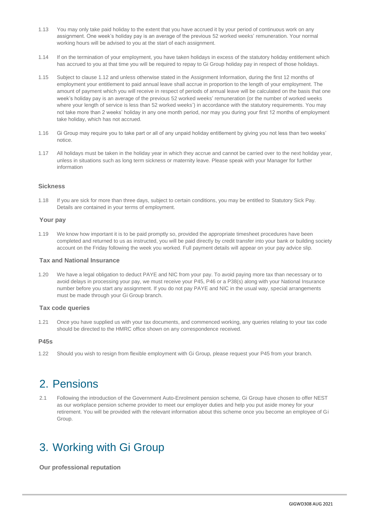- 1.13 You may only take paid holiday to the extent that you have accrued it by your period of continuous work on any assignment. One week's holiday pay is an average of the previous 52 worked weeks' remuneration. Your normal working hours will be advised to you at the start of each assignment.
- 1.14 If on the termination of your employment, you have taken holidays in excess of the statutory holiday entitlement which has accrued to you at that time you will be required to repay to Gi Group holiday pay in respect of those holidays.
- 1.15 Subject to clause 1.12 and unless otherwise stated in the Assignment Information, during the first 12 months of employment your entitlement to paid annual leave shall accrue in proportion to the length of your employment. The amount of payment which you will receive in respect of periods of annual leave will be calculated on the basis that one week's holiday pay is an average of the previous 52 worked weeks' remuneration (or the number of worked weeks where your length of service is less than 52 worked weeks') in accordance with the statutory requirements. You may not take more than 2 weeks' holiday in any one month period, nor may you during your first 12 months of employment take holiday, which has not accrued.
- 1.16 Gi Group may require you to take part or all of any unpaid holiday entitlement by giving you not less than two weeks' notice.
- 1.17 All holidays must be taken in the holiday year in which they accrue and cannot be carried over to the next holiday year, unless in situations such as long term sickness or maternity leave. Please speak with your Manager for further information

### **Sickness**

1.18 If you are sick for more than three days, subject to certain conditions, you may be entitled to Statutory Sick Pay. Details are contained in your terms of employment.

#### **Your pay**

1.19 We know how important it is to be paid promptly so, provided the appropriate timesheet procedures have been completed and returned to us as instructed, you will be paid directly by credit transfer into your bank or building society account on the Friday following the week you worked. Full payment details will appear on your pay advice slip.

### **Tax and National Insurance**

1.20 We have a legal obligation to deduct PAYE and NIC from your pay. To avoid paying more tax than necessary or to avoid delays in processing your pay, we must receive your P45, P46 or a P38(s) along with your National Insurance number before you start any assignment. If you do not pay PAYE and NIC in the usual way, special arrangements must be made through your Gi Group branch.

#### **Tax code queries**

1.21 Once you have supplied us with your tax documents, and commenced working, any queries relating to your tax code should be directed to the HMRC office shown on any correspondence received.

#### **P45s**

1.22 Should you wish to resign from flexible employment with Gi Group, please request your P45 from your branch.

### 2. Pensions

2.1 Following the introduction of the Government Auto-Enrolment pension scheme, Gi Group have chosen to offer NEST as our workplace pension scheme provider to meet our employer duties and help you put aside money for your retirement. You will be provided with the relevant information about this scheme once you become an employee of Gi Group.

### 3. Working with Gi Group

**Our professional reputation**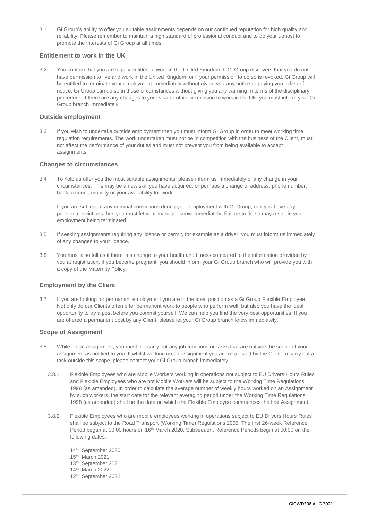3.1 Gi Group's ability to offer you suitable assignments depends on our continued reputation for high quality and reliability. Please remember to maintain a high standard of professional conduct and to do your utmost to promote the interests of Gi Group at all times.

### **Entitlement to work in the UK**

3.2 You confirm that you are legally entitled to work in the United Kingdom. If Gi Group discovers that you do not have permission to live and work in the United Kingdom, or if your permission to do so is revoked, Gi Group will be entitled to terminate your employment immediately without giving you any notice or paying you in lieu of notice. Gi Group can do so in those circumstances without giving you any warning in terms of the disciplinary procedure. If there are any changes to your visa or other permission to work in the UK, you must inform your Gi Group branch immediately.

#### **Outside employment**

3.3 If you wish to undertake outside employment then you must inform Gi Group in order to meet working time regulation requirements. The work undertaken must not be in competition with the business of the Client, must not affect the performance of your duties and must not prevent you from being available to accept assignments.

#### **Changes to circumstances**

3.4 To help us offer you the most suitable assignments, please inform us immediately of any change in your circumstances. This may be a new skill you have acquired, or perhaps a change of address, phone number, bank account, mobility or your availability for work.

If you are subject to any criminal convictions during your employment with Gi Group, or if you have any pending convictions then you must let your manager know immediately. Failure to do so may result in your employment being terminated.

- 3.5 If seeking assignments requiring any licence or permit, for example as a driver, you must inform us immediately of any changes to your licence.
- 3.6 You must also tell us if there is a change to your health and fitness compared to the information provided by you at registration. If you become pregnant, you should inform your Gi Group branch who will provide you with a copy of the Maternity Policy.

#### **Employment by the Client**

3.7 If you are looking for permanent employment you are in the ideal position as a Gi Group Flexible Employee. Not only do our Clients often offer permanent work to people who perform well, but also you have the ideal opportunity to try a post before you commit yourself. We can help you find the very best opportunities. If you are offered a permanent post by any Client, please let your Gi Group branch know immediately.

#### **Scope of Assignment**

- 3.8 While on an assignment, you must not carry out any job functions or tasks that are outside the scope of your assignment as notified to you. If whilst working on an assignment you are requested by the Client to carry out a task outside this scope, please contact your Gi Group branch immediately.
	- 3.8.1 Flexible Employees who are Mobile Workers working in operations not subject to EU Drivers Hours Rules and Flexible Employees who are not Mobile Workers will be subject to the Working Time Regulations 1998 (as amended). In order to calculate the average number of weekly hours worked on an Assignment by such workers, the start date for the relevant averaging period under the Working Time Regulations 1998 (as amended) shall be the date on which the Flexible Employee commences the first Assignment.
	- 3.8.2 Flexible Employees who are mobile employees working in operations subject to EU Drivers Hours Rules shall be subject to the Road Transport (Working Time) Regulations 2005. The first 26-week Reference Period began at 00.00 hours on 16<sup>th</sup> March 2020. Subsequent Reference Periods begin at 00.00 on the following dates:
		- 14th September 2020
		- 15th March 2021
		- 13th September 2021
		- 14th March 2022
		- 12th September 2022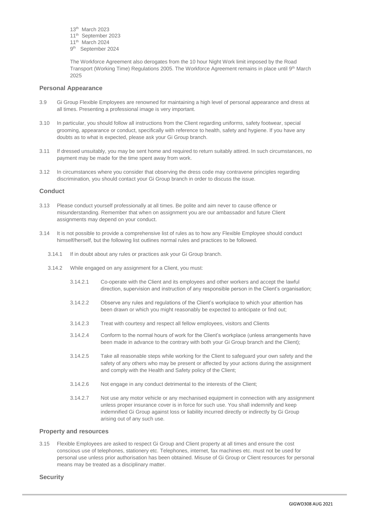- 13th March 2023
- 11th September 2023
- 11th March 2024
- 9<sup>th</sup> September 2024

The Workforce Agreement also derogates from the 10 hour Night Work limit imposed by the Road Transport (Working Time) Regulations 2005. The Workforce Agreement remains in place until 9<sup>th</sup> March 2025

#### **Personal Appearance**

- 3.9 Gi Group Flexible Employees are renowned for maintaining a high level of personal appearance and dress at all times. Presenting a professional image is very important.
- 3.10 In particular, you should follow all instructions from the Client regarding uniforms, safety footwear, special grooming, appearance or conduct, specifically with reference to health, safety and hygiene. If you have any doubts as to what is expected, please ask your Gi Group branch.
- 3.11 If dressed unsuitably, you may be sent home and required to return suitably attired. In such circumstances, no payment may be made for the time spent away from work.
- 3.12 In circumstances where you consider that observing the dress code may contravene principles regarding discrimination, you should contact your Gi Group branch in order to discuss the issue.

#### **Conduct**

- 3.13 Please conduct yourself professionally at all times. Be polite and aim never to cause offence or misunderstanding. Remember that when on assignment you are our ambassador and future Client assignments may depend on your conduct.
- 3.14 It is not possible to provide a comprehensive list of rules as to how any Flexible Employee should conduct himself/herself, but the following list outlines normal rules and practices to be followed.
	- 3.14.1 If in doubt about any rules or practices ask your Gi Group branch.
	- 3.14.2 While engaged on any assignment for a Client, you must:
		- 3.14.2.1 Co-operate with the Client and its employees and other workers and accept the lawful direction, supervision and instruction of any responsible person in the Client's organisation;
		- 3.14.2.2 Observe any rules and regulations of the Client's workplace to which your attention has been drawn or which you might reasonably be expected to anticipate or find out;
		- 3.14.2.3 Treat with courtesy and respect all fellow employees, visitors and Clients
		- 3.14.2.4 Conform to the normal hours of work for the Client's workplace (unless arrangements have been made in advance to the contrary with both your Gi Group branch and the Client);
		- 3.14.2.5 Take all reasonable steps while working for the Client to safeguard your own safety and the safety of any others who may be present or affected by your actions during the assignment and comply with the Health and Safety policy of the Client;
		- 3.14.2.6 Not engage in any conduct detrimental to the interests of the Client;
		- 3.14.2.7 Not use any motor vehicle or any mechanised equipment in connection with any assignment unless proper insurance cover is in force for such use. You shall indemnify and keep indemnified Gi Group against loss or liability incurred directly or indirectly by Gi Group arising out of any such use.

#### **Property and resources**

3.15 Flexible Employees are asked to respect Gi Group and Client property at all times and ensure the cost conscious use of telephones, stationery etc. Telephones, internet, fax machines etc. must not be used for personal use unless prior authorisation has been obtained. Misuse of Gi Group or Client resources for personal means may be treated as a disciplinary matter.

#### **Security**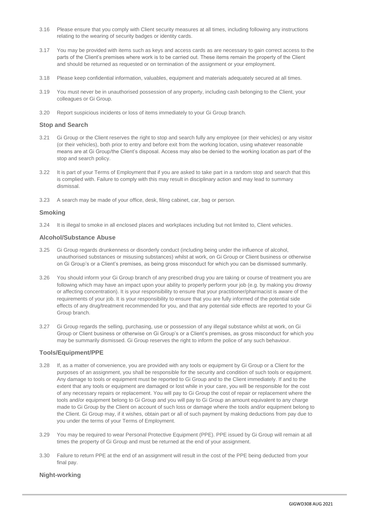- 3.16 Please ensure that you comply with Client security measures at all times, including following any instructions relating to the wearing of security badges or identity cards.
- 3.17 You may be provided with items such as keys and access cards as are necessary to gain correct access to the parts of the Client's premises where work is to be carried out. These items remain the property of the Client and should be returned as requested or on termination of the assignment or your employment.
- 3.18 Please keep confidential information, valuables, equipment and materials adequately secured at all times.
- 3.19 You must never be in unauthorised possession of any property, including cash belonging to the Client, your colleagues or Gi Group.
- 3.20 Report suspicious incidents or loss of items immediately to your Gi Group branch.

#### **Stop and Search**

- 3.21 Gi Group or the Client reserves the right to stop and search fully any employee (or their vehicles) or any visitor (or their vehicles), both prior to entry and before exit from the working location, using whatever reasonable means are at Gi Group/the Client's disposal. Access may also be denied to the working location as part of the stop and search policy.
- 3.22 It is part of your Terms of Employment that if you are asked to take part in a random stop and search that this is complied with. Failure to comply with this may result in disciplinary action and may lead to summary dismissal.
- 3.23 A search may be made of your office, desk, filing cabinet, car, bag or person.

#### **Smoking**

3.24 It is illegal to smoke in all enclosed places and workplaces including but not limited to, Client vehicles.

#### **Alcohol/Substance Abuse**

- 3.25 Gi Group regards drunkenness or disorderly conduct (including being under the influence of alcohol, unauthorised substances or misusing substances) whilst at work, on Gi Group or Client business or otherwise on Gi Group's or a Client's premises, as being gross misconduct for which you can be dismissed summarily.
- 3.26 You should inform your Gi Group branch of any prescribed drug you are taking or course of treatment you are following which may have an impact upon your ability to properly perform your job (e.g. by making you drowsy or affecting concentration). It is your responsibility to ensure that your practitioner/pharmacist is aware of the requirements of your job. It is your responsibility to ensure that you are fully informed of the potential side effects of any drug/treatment recommended for you, and that any potential side effects are reported to your Gi Group branch.
- 3.27 Gi Group regards the selling, purchasing, use or possession of any illegal substance whilst at work, on Gi Group or Client business or otherwise on Gi Group's or a Client's premises, as gross misconduct for which you may be summarily dismissed. Gi Group reserves the right to inform the police of any such behaviour.

#### **Tools/Equipment/PPE**

- 3.28 If, as a matter of convenience, you are provided with any tools or equipment by Gi Group or a Client for the purposes of an assignment, you shall be responsible for the security and condition of such tools or equipment. Any damage to tools or equipment must be reported to Gi Group and to the Client immediately. If and to the extent that any tools or equipment are damaged or lost while in your care, you will be responsible for the cost of any necessary repairs or replacement. You will pay to Gi Group the cost of repair or replacement where the tools and/or equipment belong to Gi Group and you will pay to Gi Group an amount equivalent to any charge made to Gi Group by the Client on account of such loss or damage where the tools and/or equipment belong to the Client. Gi Group may, if it wishes, obtain part or all of such payment by making deductions from pay due to you under the terms of your Terms of Employment.
- 3.29 You may be required to wear Personal Protective Equipment (PPE). PPE issued by Gi Group will remain at all times the property of Gi Group and must be returned at the end of your assignment.
- 3.30 Failure to return PPE at the end of an assignment will result in the cost of the PPE being deducted from your final pay.

### **Night-working**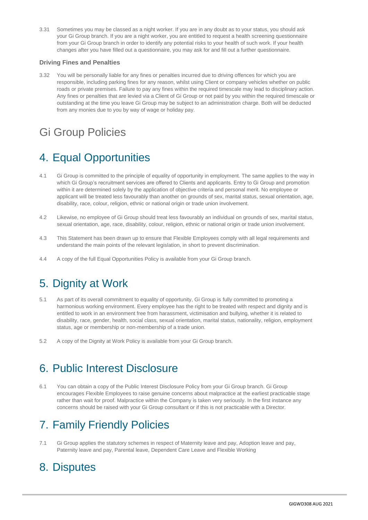3.31 Sometimes you may be classed as a night worker. If you are in any doubt as to your status, you should ask your Gi Group branch. If you are a night worker, you are entitled to request a health screening questionnaire from your Gi Group branch in order to identify any potential risks to your health of such work. If your health changes after you have filled out a questionnaire, you may ask for and fill out a further questionnaire.

### **Driving Fines and Penalties**

3.32 You will be personally liable for any fines or penalties incurred due to driving offences for which you are responsible, including parking fines for any reason, whilst using Client or company vehicles whether on public roads or private premises. Failure to pay any fines within the required timescale may lead to disciplinary action. Any fines or penalties that are levied via a Client of Gi Group or not paid by you within the required timescale or outstanding at the time you leave Gi Group may be subject to an administration charge. Both will be deducted from any monies due to you by way of wage or holiday pay.

# Gi Group Policies

# 4. Equal Opportunities

- 4.1 Gi Group is committed to the principle of equality of opportunity in employment. The same applies to the way in which Gi Group's recruitment services are offered to Clients and applicants. Entry to Gi Group and promotion within it are determined solely by the application of objective criteria and personal merit. No employee or applicant will be treated less favourably than another on grounds of sex, marital status, sexual orientation, age, disability, race, colour, religion, ethnic or national origin or trade union involvement.
- 4.2 Likewise, no employee of Gi Group should treat less favourably an individual on grounds of sex, marital status, sexual orientation, age, race, disability, colour, religion, ethnic or national origin or trade union involvement.
- 4.3 This Statement has been drawn up to ensure that Flexible Employees comply with all legal requirements and understand the main points of the relevant legislation, in short to prevent discrimination.
- 4.4 A copy of the full Equal Opportunities Policy is available from your Gi Group branch.

## 5. Dignity at Work

- 5.1 As part of its overall commitment to equality of opportunity, Gi Group is fully committed to promoting a harmonious working environment. Every employee has the right to be treated with respect and dignity and is entitled to work in an environment free from harassment, victimisation and bullying, whether it is related to disability, race, gender, health, social class, sexual orientation, marital status, nationality, religion, employment status, age or membership or non-membership of a trade union.
- 5.2 A copy of the Dignity at Work Policy is available from your Gi Group branch.

## 6. Public Interest Disclosure

6.1 You can obtain a copy of the Public Interest Disclosure Policy from your Gi Group branch. Gi Group encourages Flexible Employees to raise genuine concerns about malpractice at the earliest practicable stage rather than wait for proof. Malpractice within the Company is taken very seriously. In the first instance any concerns should be raised with your Gi Group consultant or if this is not practicable with a Director.

## 7. Family Friendly Policies

7.1 Gi Group applies the statutory schemes in respect of Maternity leave and pay, Adoption leave and pay, Paternity leave and pay, Parental leave, Dependent Care Leave and Flexible Working

### 8. Disputes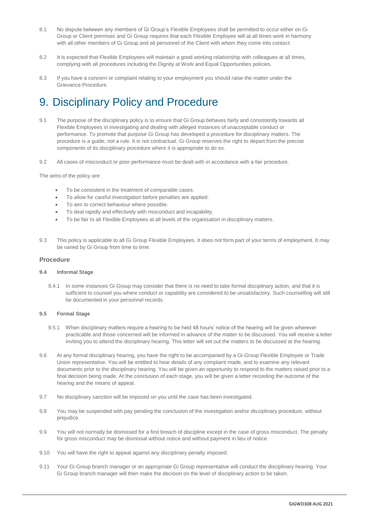- 8.1 No dispute between any members of Gi Group's Flexible Employees shall be permitted to occur either on Gi Group or Client premises and Gi Group requires that each Flexible Employee will at all times work in harmony with all other members of Gi Group and all personnel of the Client with whom they come into contact.
- 8.2 It is expected that Flexible Employees will maintain a good working relationship with colleagues at all times, complying with all procedures including the Dignity at Work and Equal Opportunities policies.
- 8.3 If you have a concern or complaint relating to your employment you should raise the matter under the Grievance Procedure.

### 9. Disciplinary Policy and Procedure

- 9.1 The purpose of the disciplinary policy is to ensure that Gi Group behaves fairly and consistently towards all Flexible Employees in investigating and dealing with alleged instances of unacceptable conduct or performance. To promote that purpose Gi Group has developed a procedure for disciplinary matters. The procedure is a guide, not a rule. It is not contractual. Gi Group reserves the right to depart from the precise components of its disciplinary procedure where it is appropriate to do so.
- 9.2 All cases of misconduct or poor performance must be dealt with in accordance with a fair procedure.

The aims of the policy are:

- To be consistent in the treatment of comparable cases.
- To allow for careful investigation before penalties are applied.
- To aim to correct behaviour where possible.
- To deal rapidly and effectively with misconduct and incapability.
- To be fair to all Flexible Employees at all levels of the organisation in disciplinary matters.
- 9.3 This policy is applicable to all Gi Group Flexible Employees. It does not form part of your terms of employment. It may be varied by Gi Group from time to time.

#### **Procedure**

#### **9.4 Informal Stage**

9.4.1 In some instances Gi Group may consider that there is no need to take formal disciplinary action, and that it is sufficient to counsel you where conduct or capability are considered to be unsatisfactory. Such counselling will still be documented in your personnel records.

#### **9.5 Formal Stage**

- 9.5.1 When disciplinary matters require a hearing to be held 48 hours' notice of the hearing will be given wherever practicable and those concerned will be informed in advance of the matter to be discussed. You will receive a letter inviting you to attend the disciplinary hearing. This letter will set out the matters to be discussed at the hearing.
- 9.6 At any formal disciplinary hearing, you have the right to be accompanied by a Gi Group Flexible Employee or Trade Union representative. You will be entitled to hear details of any complaint made, and to examine any relevant documents prior to the disciplinary hearing. You will be given an opportunity to respond to the matters raised prior to a final decision being made. At the conclusion of each stage, you will be given a letter recording the outcome of the hearing and the means of appeal.
- 9.7 No disciplinary sanction will be imposed on you until the case has been investigated.
- 9.8 You may be suspended with pay pending the conclusion of the investigation and/or disciplinary procedure, without prejudice.
- 9.9 You will not normally be dismissed for a first breach of discipline except in the case of gross misconduct. The penalty for gross misconduct may be dismissal without notice and without payment in lieu of notice.
- 9.10 You will have the right to appeal against any disciplinary penalty imposed.
- 9.11 Your Gi Group branch manager or an appropriate Gi Group representative will conduct the disciplinary hearing. Your Gi Group branch manager will then make the decision on the level of disciplinary action to be taken.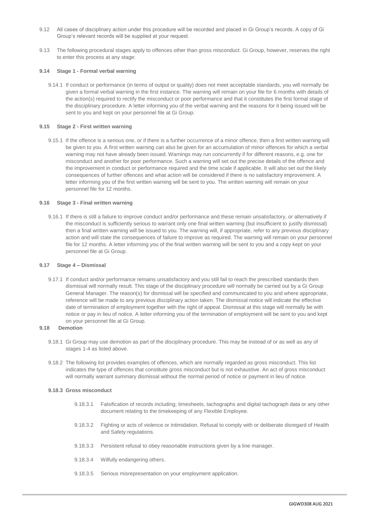- 9.12 All cases of disciplinary action under this procedure will be recorded and placed in Gi Group's records. A copy of Gi Group's relevant records will be supplied at your request.
- 9.13 The following procedural stages apply to offences other than gross misconduct. Gi Group, however, reserves the right to enter this process at any stage:

#### **9.14 Stage 1 - Formal verbal warning**

9.14.1 If conduct or performance (in terms of output or quality) does not meet acceptable standards, you will normally be given a formal verbal warning in the first instance. The warning will remain on your file for 6 months with details of the action(s) required to rectify the misconduct or poor performance and that it constitutes the first formal stage of the disciplinary procedure. A letter informing you of the verbal warning and the reasons for it being issued will be sent to you and kept on your personnel file at Gi Group.

#### **9.15 Stage 2 - First written warning**

9.15.1 If the offence is a serious one, or if there is a further occurrence of a minor offence, then a first written warning will be given to you. A first written warning can also be given for an accumulation of minor offences for which a verbal warning may not have already been issued. Warnings may run concurrently if for different reasons, e.g. one for misconduct and another for poor performance. Such a warning will set out the precise details of the offence and the improvement in conduct or performance required and the time scale if applicable. It will also set out the likely consequences of further offences and what action will be considered if there is no satisfactory improvement. A letter informing you of the first written warning will be sent to you. The written warning will remain on your personnel file for 12 months.

#### **9.16 Stage 3 - Final written warning**

9.16.1 If there is still a failure to improve conduct and/or performance and these remain unsatisfactory, or alternatively if the misconduct is sufficiently serious to warrant only one final written warning (but insufficient to justify dismissal) then a final written warning will be issued to you. The warning will, if appropriate, refer to any previous disciplinary action and will state the consequences of failure to improve as required. The warning will remain on your personnel file for 12 months. A letter informing you of the final written warning will be sent to you and a copy kept on your personnel file at Gi Group.

#### **9.17 Stage 4 – Dismissal**

9.17.1 If conduct and/or performance remains unsatisfactory and you still fail to reach the prescribed standards then dismissal will normally result. This stage of the disciplinary procedure will normally be carried out by a Gi Group General Manager. The reason(s) for dismissal will be specified and communicated to you and where appropriate, reference will be made to any previous disciplinary action taken. The dismissal notice will indicate the effective date of termination of employment together with the right of appeal. Dismissal at this stage will normally be with notice or pay in lieu of notice. A letter informing you of the termination of employment will be sent to you and kept on your personnel file at Gi Group.

### **9.18 Demotion**

- 9.18.1 Gi Group may use demotion as part of the disciplinary procedure. This may be instead of or as well as any of stages 1-4 as listed above.
- 9.18.2 The following list provides examples of offences, which are normally regarded as gross misconduct. This list indicates the type of offences that constitute gross misconduct but is not exhaustive. An act of gross misconduct will normally warrant summary dismissal without the normal period of notice or payment in lieu of notice.

#### **9.18.3 Gross misconduct**

- 9.18.3.1 Falsification of records including; timesheets, tachographs and digital tachograph data or any other document relating to the timekeeping of any Flexible Employee.
- 9.18.3.2 Fighting or acts of violence or intimidation. Refusal to comply with or deliberate disregard of Health and Safety regulations.
- 9.18.3.3 Persistent refusal to obey reasonable instructions given by a line manager.
- 9.18.3.4 Wilfully endangering others.
- 9.18.3.5 Serious misrepresentation on your employment application.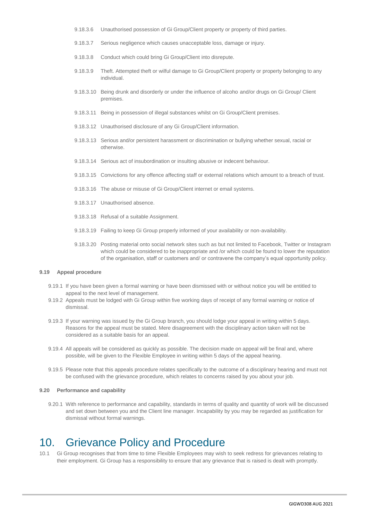- 9.18.3.6 Unauthorised possession of Gi Group/Client property or property of third parties.
- 9.18.3.7 Serious negligence which causes unacceptable loss, damage or injury.
- 9.18.3.8 Conduct which could bring Gi Group/Client into disrepute.
- 9.18.3.9 Theft. Attempted theft or wilful damage to Gi Group/Client property or property belonging to any individual.
- 9.18.3.10 Being drunk and disorderly or under the influence of alcoho and/or drugs on Gi Group/ Client premises.
- 9.18.3.11 Being in possession of illegal substances whilst on Gi Group/Client premises.
- 9.18.3.12 Unauthorised disclosure of any Gi Group/Client information.
- 9.18.3.13 Serious and/or persistent harassment or discrimination or bullying whether sexual, racial or otherwise.
- 9.18.3.14 Serious act of insubordination or insulting abusive or indecent behaviour.
- 9.18.3.15 Convictions for any offence affecting staff or external relations which amount to a breach of trust.
- 9.18.3.16 The abuse or misuse of Gi Group/Client internet or email systems.
- 9.18.3.17 Unauthorised absence.
- 9.18.3.18 Refusal of a suitable Assignment.
- 9.18.3.19 Failing to keep Gi Group properly informed of your availability or non-availability.
- 9.18.3.20 Posting material onto social network sites such as but not limited to Facebook, Twitter or Instagram which could be considered to be inappropriate and /or which could be found to lower the reputation of the organisation, staff or customers and/ or contravene the company's equal opportunity policy.

#### **9.19 Appeal procedure**

- 9.19.1 If you have been given a formal warning or have been dismissed with or without notice you will be entitled to appeal to the next level of management.
- 9.19.2 Appeals must be lodged with Gi Group within five working days of receipt of any formal warning or notice of dismissal.
- 9.19.3 If your warning was issued by the Gi Group branch, you should lodge your appeal in writing within 5 days. Reasons for the appeal must be stated. Mere disagreement with the disciplinary action taken will not be considered as a suitable basis for an appeal.
- 9.19.4 All appeals will be considered as quickly as possible. The decision made on appeal will be final and, where possible, will be given to the Flexible Employee in writing within 5 days of the appeal hearing.
- 9.19.5 Please note that this appeals procedure relates specifically to the outcome of a disciplinary hearing and must not be confused with the grievance procedure, which relates to concerns raised by you about your job.

#### **9.20 Performance and capability**

9.20.1 With reference to performance and capability, standards in terms of quality and quantity of work will be discussed and set down between you and the Client line manager. Incapability by you may be regarded as justification for dismissal without formal warnings.

### 10. Grievance Policy and Procedure

10.1 Gi Group recognises that from time to time Flexible Employees may wish to seek redress for grievances relating to their employment. Gi Group has a responsibility to ensure that any grievance that is raised is dealt with promptly.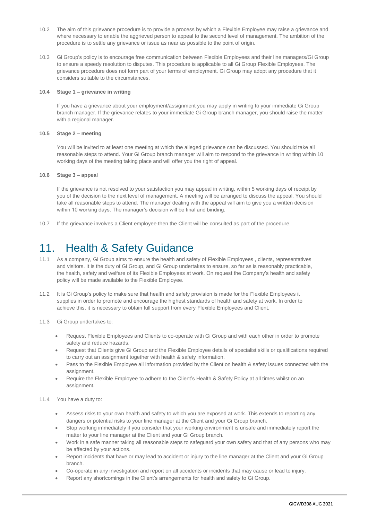- 10.2 The aim of this grievance procedure is to provide a process by which a Flexible Employee may raise a grievance and where necessary to enable the aggrieved person to appeal to the second level of management. The ambition of the procedure is to settle any grievance or issue as near as possible to the point of origin.
- 10.3 Gi Group's policy is to encourage free communication between Flexible Employees and their line managers/Gi Group to ensure a speedy resolution to disputes. This procedure is applicable to all Gi Group Flexible Employees. The grievance procedure does not form part of your terms of employment. Gi Group may adopt any procedure that it considers suitable to the circumstances.

#### **10.4 Stage 1 – grievance in writing**

If you have a grievance about your employment/assignment you may apply in writing to your immediate Gi Group branch manager. If the grievance relates to your immediate Gi Group branch manager, you should raise the matter with a regional manager.

#### **10.5 Stage 2 – meeting**

You will be invited to at least one meeting at which the alleged grievance can be discussed. You should take all reasonable steps to attend. Your Gi Group branch manager will aim to respond to the grievance in writing within 10 working days of the meeting taking place and will offer you the right of appeal.

#### **10.6 Stage 3 – appeal**

If the grievance is not resolved to your satisfaction you may appeal in writing, within 5 working days of receipt by you of the decision to the next level of management. A meeting will be arranged to discuss the appeal. You should take all reasonable steps to attend. The manager dealing with the appeal will aim to give you a written decision within 10 working days. The manager's decision will be final and binding.

10.7 If the grievance involves a Client employee then the Client will be consulted as part of the procedure.

### 11. Health & Safety Guidance

- 11.1 As a company, Gi Group aims to ensure the health and safety of Flexible Employees , clients, representatives and visitors. It is the duty of Gi Group, and Gi Group undertakes to ensure, so far as is reasonably practicable, the health, safety and welfare of its Flexible Employees at work. On request the Company's health and safety policy will be made available to the Flexible Employee.
- 11.2 It is Gi Group's policy to make sure that health and safety provision is made for the Flexible Employees it supplies in order to promote and encourage the highest standards of health and safety at work. In order to achieve this, it is necessary to obtain full support from every Flexible Employees and Client.
- 11.3 Gi Group undertakes to:
	- Request Flexible Employees and Clients to co-operate with Gi Group and with each other in order to promote safety and reduce hazards.
	- Request that Clients give Gi Group and the Flexible Employee details of specialist skills or qualifications required to carry out an assignment together with health & safety information.
	- Pass to the Flexible Employee all information provided by the Client on health & safety issues connected with the assignment.
	- Require the Flexible Employee to adhere to the Client's Health & Safety Policy at all times whilst on an assignment.

#### 11.4 You have a duty to:

- Assess risks to your own health and safety to which you are exposed at work. This extends to reporting any dangers or potential risks to your line manager at the Client and your Gi Group branch.
- Stop working immediately if you consider that your working environment is unsafe and immediately report the matter to your line manager at the Client and your Gi Group branch.
- Work in a safe manner taking all reasonable steps to safeguard your own safety and that of any persons who may be affected by your actions.
- Report incidents that have or may lead to accident or injury to the line manager at the Client and your Gi Group branch.
- Co-operate in any investigation and report on all accidents or incidents that may cause or lead to injury.
- Report any shortcomings in the Client's arrangements for health and safety to Gi Group.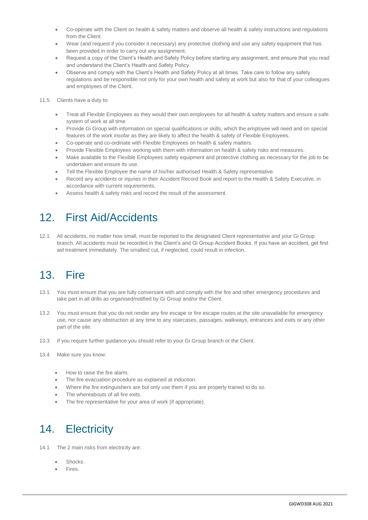- Co-operate with the Client on health & safety matters and observe all health & safety instructions and regulations from the Client.
- Wear (and request if you consider it necessary) any protective clothing and use any safety equipment that has been provided in order to carry out any assignment.
- Request a copy of the Client's Health and Safety Policy before starting any assignment, and ensure that you read and understand the Client's Health and Safety Policy.
- Observe and comply with the Client's Health and Safety Policy at all times. Take care to follow any safety regulations and be responsible not only for your own health and safety at work but also for that of your colleagues and employees of the Client.
- 11.5 Clients have a duty to:
	- Treat all Flexible Employees as they would their own employees for all health & safety matters and ensure a safe system of work at all time
	- Provide Gi Group with information on special qualifications or skills, which the employee will need and on special features of the work insofar as they are likely to affect the health & safety of Flexible Employees.
	- Co-operate and co-ordinate with Flexible Employees on health & safety matters.
	- Provide Flexible Employees working with them with information on health & safety risks and measures.
	- Make available to the Flexible Employees safety equipment and protective clothing as necessary for the job to be undertaken and ensure its use.
	- Tell the Flexible Employee the name of his/her authorised Health & Safety representative.
	- Record any accidents or injuries in their Accident Record Book and report to the Health & Safety Executive, in accordance with current requirements.
	- Assess health & safety risks and record the result of the assessment.

## 12. First Aid/Accidents

12.1 All accidents, no matter how small, must be reported to the designated Client representative and your Gi Group branch. All accidents must be recorded in the Client's and Gi Group Accident Books. If you have an accident, get first aid treatment immediately. The smallest cut, if neglected, could result in infection.

## 13. Fire

- 13.1 You must ensure that you are fully conversant with and comply with the fire and other emergency procedures and take part in all drills as organised/notified by Gi Group and/or the Client.
- 13.2 You must ensure that you do not render any fire escape or fire escape routes at the site unavailable for emergency use, nor cause any obstruction at any time to any staircases, passages, walkways, entrances and exits or any other part of the site.
- 13.3 If you require further guidance you should refer to your Gi Group branch or the Client.
- 13.4 Make sure you know:
	- How to raise the fire alarm.
	- The fire evacuation procedure as explained at induction.
	- Where the fire extinguishers are but only use them if you are properly trained to do so.
	- The whereabouts of all fire exits.
	- The fire representative for your area of work (if appropriate).

### 14. Electricity

- 14.1 The 2 main risks from electricity are:
	- Shocks.
	- Fires.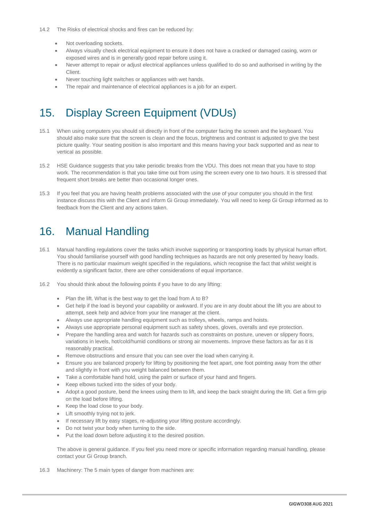- Not overloading sockets.
- Always visually check electrical equipment to ensure it does not have a cracked or damaged casing, worn or exposed wires and is in generally good repair before using it.
- Never attempt to repair or adjust electrical appliances unless qualified to do so and authorised in writing by the Client.
- Never touching light switches or appliances with wet hands.
- The repair and maintenance of electrical appliances is a job for an expert.

### 15. Display Screen Equipment (VDUs)

- 15.1 When using computers you should sit directly in front of the computer facing the screen and the keyboard. You should also make sure that the screen is clean and the focus, brightness and contrast is adjusted to give the best picture quality. Your seating position is also important and this means having your back supported and as near to vertical as possible.
- 15.2 HSE Guidance suggests that you take periodic breaks from the VDU. This does not mean that you have to stop work. The recommendation is that you take time out from using the screen every one to two hours. It is stressed that frequent short breaks are better than occasional longer ones.
- 15.3 If you feel that you are having health problems associated with the use of your computer you should in the first instance discuss this with the Client and inform Gi Group immediately. You will need to keep Gi Group informed as to feedback from the Client and any actions taken.

### 16. Manual Handling

- 16.1 Manual handling regulations cover the tasks which involve supporting or transporting loads by physical human effort. You should familiarise yourself with good handling techniques as hazards are not only presented by heavy loads. There is no particular maximum weight specified in the regulations, which recognise the fact that whilst weight is evidently a significant factor, there are other considerations of equal importance.
- 16.2 You should think about the following points if you have to do any lifting:
	- Plan the lift. What is the best way to get the load from A to B?
	- Get help if the load is beyond your capability or awkward. If you are in any doubt about the lift you are about to attempt, seek help and advice from your line manager at the client.
	- Always use appropriate handling equipment such as trolleys, wheels, ramps and hoists.
	- Always use appropriate personal equipment such as safety shoes, gloves, overalls and eye protection.
	- Prepare the handling area and watch for hazards such as constraints on posture, uneven or slippery floors, variations in levels, hot/cold/humid conditions or strong air movements. Improve these factors as far as it is reasonably practical.
	- Remove obstructions and ensure that you can see over the load when carrying it.
	- Ensure you are balanced properly for lifting by positioning the feet apart, one foot pointing away from the other and slightly in front with you weight balanced between them.
	- Take a comfortable hand hold, using the palm or surface of your hand and fingers.
	- Keep elbows tucked into the sides of your body.
	- Adopt a good posture, bend the knees using them to lift, and keep the back straight during the lift. Get a firm grip on the load before lifting.
	- Keep the load close to your body.
	- Lift smoothly trying not to jerk.
	- If necessary lift by easy stages, re-adjusting your lifting posture accordingly.
	- Do not twist your body when turning to the side.
	- Put the load down before adjusting it to the desired position.

The above is general guidance. If you feel you need more or specific information regarding manual handling, please contact your Gi Group branch.

16.3 Machinery: The 5 main types of danger from machines are: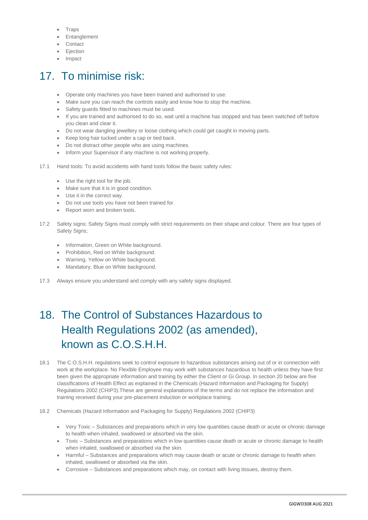- **Traps**
- Entanglement
- Contact
- **•** Ejection
- Impact

# 17. To minimise risk:

- Operate only machines you have been trained and authorised to use.
- Make sure you can reach the controls easily and know how to stop the machine.
- Safety guards fitted to machines must be used.
- If you are trained and authorised to do so, wait until a machine has stopped and has been switched off before you clean and clear it.
- Do not wear dangling jewellery or loose clothing which could get caught in moving parts.
- Keep long hair tucked under a cap or tied back.
- Do not distract other people who are using machines.
- Inform your Supervisor if any machine is not working properly.
- 17.1 Hand tools: To avoid accidents with hand tools follow the basic safety rules:
	- Use the right tool for the job.
	- Make sure that it is in good condition.
	- Use it in the correct way.
	- Do not use tools you have not been trained for.
	- Report worn and broken tools.
- 17.2 Safety signs: Safety Signs must comply with strict requirements on their shape and colour. There are four types of Safety Signs;
	- Information, Green on White background.
	- Prohibition, Red on White background.
	- Warning, Yellow on White background.
	- Mandatory, Blue on White background.
- 17.3 Always ensure you understand and comply with any safety signs displayed.

# 18. The Control of Substances Hazardous to Health Regulations 2002 (as amended), known as C.O.S.H.H.

- 18.1 The C.O.S.H.H. regulations seek to control exposure to hazardous substances arising out of or in connection with work at the workplace. No Flexible Employee may work with substances hazardous to health unless they have first been given the appropriate information and training by either the Client or Gi Group. In section 20 below are five classifications of Health Effect as explained in the Chemicals (Hazard Information and Packaging for Supply) Regulations 2002 (CHIP3).These are general explanations of the terms and do not replace the information and training received during your pre-placement induction or workplace training.
- 18.2 Chemicals (Hazard Information and Packaging for Supply) Regulations 2002 (CHIP3)
	- Very Toxic Substances and preparations which in very low quantities cause death or acute or chronic damage to health when inhaled, swallowed or absorbed via the skin.
	- Toxic Substances and preparations which in low quantities cause death or acute or chronic damage to health when inhaled, swallowed or absorbed via the skin.
	- Harmful Substances and preparations which may cause death or acute or chronic damage to health when inhaled, swallowed or absorbed via the skin.
	- Corrosive Substances and preparations which may, on contact with living tissues, destroy them.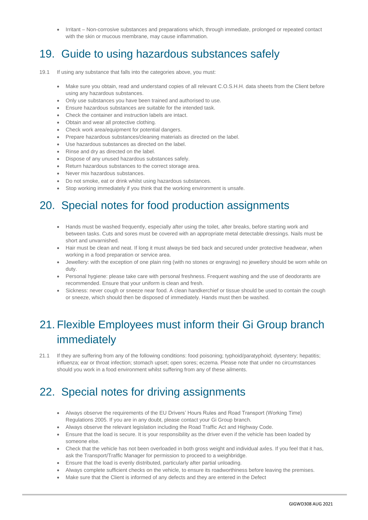Irritant – Non-corrosive substances and preparations which, through immediate, prolonged or repeated contact with the skin or mucous membrane, may cause inflammation.

## 19. Guide to using hazardous substances safely

- 19.1 If using any substance that falls into the categories above, you must:
	- Make sure you obtain, read and understand copies of all relevant C.O.S.H.H. data sheets from the Client before using any hazardous substances.
	- Only use substances you have been trained and authorised to use.
	- Ensure hazardous substances are suitable for the intended task.
	- Check the container and instruction labels are intact.
	- Obtain and wear all protective clothing.
	- Check work area/equipment for potential dangers.
	- Prepare hazardous substances/cleaning materials as directed on the label.
	- Use hazardous substances as directed on the label.
	- Rinse and dry as directed on the label.
	- Dispose of any unused hazardous substances safely.
	- Return hazardous substances to the correct storage area.
	- Never mix hazardous substances.
	- Do not smoke, eat or drink whilst using hazardous substances.
	- Stop working immediately if you think that the working environment is unsafe.

## 20. Special notes for food production assignments

- Hands must be washed frequently, especially after using the toilet, after breaks, before starting work and between tasks. Cuts and sores must be covered with an appropriate metal detectable dressings. Nails must be short and unvarnished.
- Hair must be clean and neat. If long it must always be tied back and secured under protective headwear, when working in a food preparation or service area.
- Jewellery: with the exception of one plain ring (with no stones or engraving) no jewellery should be worn while on duty.
- Personal hygiene: please take care with personal freshness. Frequent washing and the use of deodorants are recommended. Ensure that your uniform is clean and fresh.
- Sickness: never cough or sneeze near food. A clean handkerchief or tissue should be used to contain the cough or sneeze, which should then be disposed of immediately. Hands must then be washed.

## 21. Flexible Employees must inform their Gi Group branch immediately

21.1 If they are suffering from any of the following conditions: food poisoning; typhoid/paratyphoid; dysentery; hepatitis; influenza; ear or throat infection; stomach upset; open sores; eczema. Please note that under no circumstances should you work in a food environment whilst suffering from any of these ailments.

# 22. Special notes for driving assignments

- Always observe the requirements of the EU Drivers' Hours Rules and Road Transport (Working Time) Regulations 2005. If you are in any doubt, please contact your Gi Group branch.
- Always observe the relevant legislation including the Road Traffic Act and Highway Code.
- Ensure that the load is secure. It is your responsibility as the driver even if the vehicle has been loaded by someone else.
- Check that the vehicle has not been overloaded in both gross weight and individual axles. If you feel that it has, ask the Transport/Traffic Manager for permission to proceed to a weighbridge.
- Ensure that the load is evenly distributed, particularly after partial unloading.
- Always complete sufficient checks on the vehicle, to ensure its roadworthiness before leaving the premises.
- Make sure that the Client is informed of any defects and they are entered in the Defect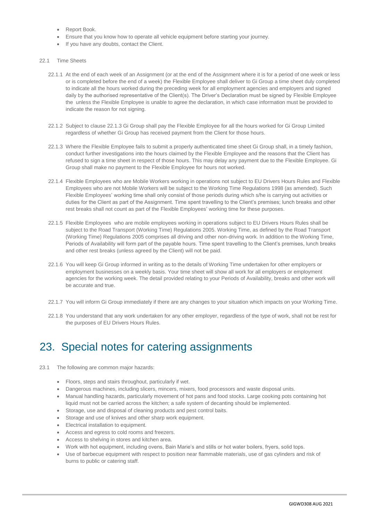- Report Book.
- Ensure that you know how to operate all vehicle equipment before starting your journey.
- If you have any doubts, contact the Client.
- 22.1 Time Sheets
	- 22.1.1 At the end of each week of an Assignment (or at the end of the Assignment where it is for a period of one week or less or is completed before the end of a week) the Flexible Employee shall deliver to Gi Group a time sheet duly completed to indicate all the hours worked during the preceding week for all employment agencies and employers and signed daily by the authorised representative of the Client(s). The Driver's Declaration must be signed by Flexible Employee the unless the Flexible Employee is unable to agree the declaration, in which case information must be provided to indicate the reason for not signing.
	- 22.1.2 Subject to clause 22.1.3 Gi Group shall pay the Flexible Employee for all the hours worked for Gi Group Limited regardless of whether Gi Group has received payment from the Client for those hours.
	- 22.1.3 Where the Flexible Employee fails to submit a properly authenticated time sheet Gi Group shall, in a timely fashion, conduct further investigations into the hours claimed by the Flexible Employee and the reasons that the Client has refused to sign a time sheet in respect of those hours. This may delay any payment due to the Flexible Employee. Gi Group shall make no payment to the Flexible Employee for hours not worked.
	- 22.1.4 Flexible Employees who are Mobile Workers working in operations not subject to EU Drivers Hours Rules and Flexible Employees who are not Mobile Workers will be subject to the Working Time Regulations 1998 (as amended). Such Flexible Employees' working time shall only consist of those periods during which s/he is carrying out activities or duties for the Client as part of the Assignment. Time spent travelling to the Client's premises; lunch breaks and other rest breaks shall not count as part of the Flexible Employees' working time for these purposes.
	- 22.1.5 Flexible Employees who are mobile employees working in operations subject to EU Drivers Hours Rules shall be subject to the Road Transport (Working Time) Regulations 2005. Working Time, as defined by the Road Transport (Working Time) Regulations 2005 comprises all driving and other non-driving work. In addition to the Working Time, Periods of Availability will form part of the payable hours. Time spent travelling to the Client's premises, lunch breaks and other rest breaks (unless agreed by the Client) will not be paid.
	- 22.1.6 You will keep Gi Group informed in writing as to the details of Working Time undertaken for other employers or employment businesses on a weekly basis. Your time sheet will show all work for all employers or employment agencies for the working week. The detail provided relating to your Periods of Availability, breaks and other work will be accurate and true.
	- 22.1.7 You will inform Gi Group immediately if there are any changes to your situation which impacts on your Working Time.
	- 22.1.8 You understand that any work undertaken for any other employer, regardless of the type of work, shall not be rest for the purposes of EU Drivers Hours Rules.

### 23. Special notes for catering assignments

- 23.1 The following are common major hazards:
	- Floors, steps and stairs throughout, particularly if wet.
	- Dangerous machines, including slicers, mincers, mixers, food processors and waste disposal units.
	- Manual handling hazards, particularly movement of hot pans and food stocks. Large cooking pots containing hot liquid must not be carried across the kitchen; a safe system of decanting should be implemented.
	- Storage, use and disposal of cleaning products and pest control baits.
	- Storage and use of knives and other sharp work equipment.
	- **Electrical installation to equipment.**
	- Access and egress to cold rooms and freezers.
	- Access to shelving in stores and kitchen area.
	- Work with hot equipment, including ovens, Bain Marie's and stills or hot water boilers, fryers, solid tops.
	- Use of barbecue equipment with respect to position near flammable materials, use of gas cylinders and risk of burns to public or catering staff.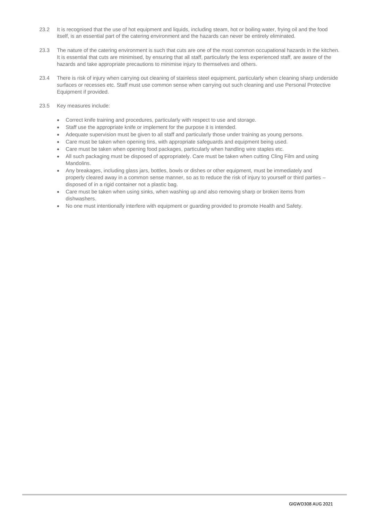- 23.2 It is recognised that the use of hot equipment and liquids, including steam, hot or boiling water, frying oil and the food itself, is an essential part of the catering environment and the hazards can never be entirely eliminated.
- 23.3 The nature of the catering environment is such that cuts are one of the most common occupational hazards in the kitchen. It is essential that cuts are minimised, by ensuring that all staff, particularly the less experienced staff, are aware of the hazards and take appropriate precautions to minimise injury to themselves and others.
- 23.4 There is risk of injury when carrying out cleaning of stainless steel equipment, particularly when cleaning sharp underside surfaces or recesses etc. Staff must use common sense when carrying out such cleaning and use Personal Protective Equipment if provided.
- 23.5 Key measures include:
	- Correct knife training and procedures, particularly with respect to use and storage.
	- Staff use the appropriate knife or implement for the purpose it is intended.
	- Adequate supervision must be given to all staff and particularly those under training as young persons.
	- Care must be taken when opening tins, with appropriate safeguards and equipment being used.
	- Care must be taken when opening food packages, particularly when handling wire staples etc.
	- All such packaging must be disposed of appropriately. Care must be taken when cutting Cling Film and using Mandolins.
	- Any breakages, including glass jars, bottles, bowls or dishes or other equipment, must be immediately and properly cleared away in a common sense manner, so as to reduce the risk of injury to yourself or third parties – disposed of in a rigid container not a plastic bag.
	- Care must be taken when using sinks, when washing up and also removing sharp or broken items from dishwashers.
	- No one must intentionally interfere with equipment or guarding provided to promote Health and Safety.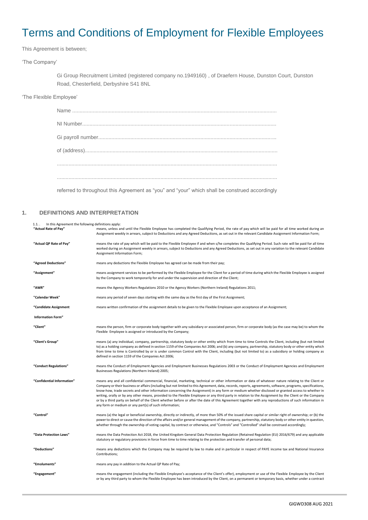# Terms and Conditions of Employment for Flexible Employees

This Agreement is between;

'The Company'

Gi Group Recruitment Limited (registered company no.1949160) , of Draefern House, Dunston Court, Dunston Road, Chesterfield, Derbyshire S41 8NL

'The Flexible Employee'

referred to throughout this Agreement as "you" and "your" which shall be construed accordingly

#### **1. DEFINITIONS AND INTERPRETATION**

<span id="page-19-0"></span>

| In this Agreement the following definitions apply:<br>$1.1.$ . |                                                                                                                                                                                                                                                                                                                                                                                                                                                                                                                                                                                                                                                                                                                                                                                                                                                     |
|----------------------------------------------------------------|-----------------------------------------------------------------------------------------------------------------------------------------------------------------------------------------------------------------------------------------------------------------------------------------------------------------------------------------------------------------------------------------------------------------------------------------------------------------------------------------------------------------------------------------------------------------------------------------------------------------------------------------------------------------------------------------------------------------------------------------------------------------------------------------------------------------------------------------------------|
| "Actual Rate of Pay"                                           | means, unless and until the Flexible Employee has completed the Qualifying Period, the rate of pay which will be paid for all time worked during an<br>Assignment weekly in arrears, subject to Deductions and any Agreed Deductions, as set out in the relevant Candidate Assignment Information Form;                                                                                                                                                                                                                                                                                                                                                                                                                                                                                                                                             |
| "Actual QP Rate of Pay"                                        | means the rate of pay which will be paid to the Flexible Employee if and when s/he completes the Qualifying Period. Such rate will be paid for all time<br>worked during an Assignment weekly in arrears, subject to Deductions and any Agreed Deductions, as set out in any variation to the relevant Candidate<br>Assignment Information Form;                                                                                                                                                                                                                                                                                                                                                                                                                                                                                                    |
| "Agreed Deductions"                                            | means any deductions the Flexible Employee has agreed can be made from their pay;                                                                                                                                                                                                                                                                                                                                                                                                                                                                                                                                                                                                                                                                                                                                                                   |
| "Assignment"                                                   | means assignment services to be performed by the Flexible Employee for the Client for a period of time during which the Flexible Employee is assigned<br>by the Company to work temporarily for and under the supervision and direction of the Client;                                                                                                                                                                                                                                                                                                                                                                                                                                                                                                                                                                                              |
| "AWR"                                                          | means the Agency Workers Regulations 2010 or the Agency Workers (Northern Ireland) Regulations 2011;                                                                                                                                                                                                                                                                                                                                                                                                                                                                                                                                                                                                                                                                                                                                                |
| "Calendar Week"                                                | means any period of seven days starting with the same day as the first day of the First Assignment;                                                                                                                                                                                                                                                                                                                                                                                                                                                                                                                                                                                                                                                                                                                                                 |
| "Candidate Assignment                                          | means written confirmation of the assignment details to be given to the Flexible Employee upon acceptance of an Assignment;                                                                                                                                                                                                                                                                                                                                                                                                                                                                                                                                                                                                                                                                                                                         |
| <b>Information Form"</b>                                       |                                                                                                                                                                                                                                                                                                                                                                                                                                                                                                                                                                                                                                                                                                                                                                                                                                                     |
| "Client"                                                       | means the person, firm or corporate body together with any subsidiary or associated person, firm or corporate body (as the case may be) to whom the<br>Flexible Employee is assigned or introduced by the Company;                                                                                                                                                                                                                                                                                                                                                                                                                                                                                                                                                                                                                                  |
| "Client's Group"                                               | means (a) any individual, company, partnership, statutory body or other entity which from time to time Controls the Client, including (but not limited<br>to) as a holding company as defined in section 1159 of the Companies Act 2006; and (b) any company, partnership, statutory body or other entity which<br>from time to time is Controlled by or is under common Control with the Client, including (but not limited to) as a subsidiary or holding company as<br>defined in section 1159 of the Companies Act 2006;                                                                                                                                                                                                                                                                                                                        |
| "Conduct Regulations"                                          | means the Conduct of Employment Agencies and Employment Businesses Regulations 2003 or the Conduct of Employment Agencies and Employment<br>Businesses Regulations (Northern Ireland) 2005;                                                                                                                                                                                                                                                                                                                                                                                                                                                                                                                                                                                                                                                         |
| "Confidential Information"                                     | means any and all confidential commercial, financial, marketing, technical or other information or data of whatever nature relating to the Client or<br>Company or their business or affairs (including but not limited to this Agreement, data, records, reports, agreements, software, programs, specifications,<br>know-how, trade secrets and other information concerning the Assignment) in any form or medium whether disclosed or granted access to whether in<br>writing, orally or by any other means, provided to the Flexible Employee or any third party in relation to the Assignment by the Client or the Company<br>or by a third party on behalf of the Client whether before or after the date of this Agreement together with any reproductions of such information in<br>any form or medium or any part(s) of such information; |
| "Control"                                                      | means (a) the legal or beneficial ownership, directly or indirectly, of more than 50% of the issued share capital or similar right of ownership; or (b) the<br>power to direct or cause the direction of the affairs and/or general management of the company, partnership, statutory body or other entity in question,<br>whether through the ownership of voting capital, by contract or otherwise, and "Controls" and "Controlled" shall be construed accordingly;                                                                                                                                                                                                                                                                                                                                                                               |
| "Data Protection Laws"                                         | means the Data Protection Act 2018, the United Kingdom General Data Protection Regulation (Retained Regulation (EU) 2016/679) and any applicable<br>statutory or regulatory provisions in force from time to time relating to the protection and transfer of personal data;                                                                                                                                                                                                                                                                                                                                                                                                                                                                                                                                                                         |
| "Deductions"                                                   | means any deductions which the Company may be required by law to make and in particular in respect of PAYE income tax and National Insurance<br>Contributions;                                                                                                                                                                                                                                                                                                                                                                                                                                                                                                                                                                                                                                                                                      |
| "Emoluments"                                                   | means any pay in addition to the Actual QP Rate of Pay;                                                                                                                                                                                                                                                                                                                                                                                                                                                                                                                                                                                                                                                                                                                                                                                             |
| "Engagement"                                                   | means the engagement (including the Flexible Employee's acceptance of the Client's offer), employment or use of the Flexible Employee by the Client<br>or by any third party to whom the Flexible Employee has been introduced by the Client, on a permanent or temporary basis, whether under a contract                                                                                                                                                                                                                                                                                                                                                                                                                                                                                                                                           |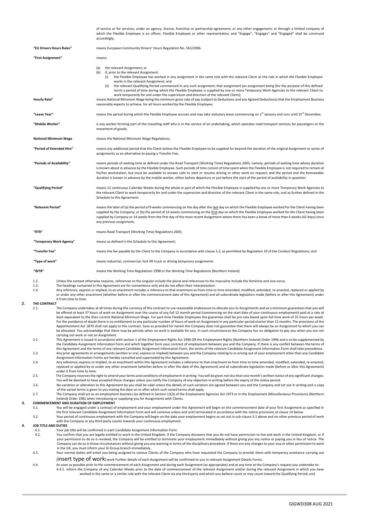<span id="page-20-0"></span>of service or for services; under an agency, licence, franchise or partnership agreement; or any other engagement; or through a limited company of which the Flexible Employee is an officer, Flexible Employee or other representative; and "Engage", "Engages" and "Engaged" shall be construed accordingly; **"EU Drivers Hours Rules"** means European Community Drivers' Hours Regulation No. 561/2006. **"First Assignment"** means: (a) the relevant Assignment; or<br>(b) if, prior to the relevant Assig  $\overline{f}$ , prior to the relevant Assignment:<br>(i) the Flexible Employee has wo the Flexible Employee has worked in any assignment in the same role with the relevant Client as the role in which the Flexible Employee works in the relevant Assignment; and (ii) the relevant Qualifying Period commenced in any such assignment, that assignment (an assignment being (for the purpose of this defined term) a period of time during which the Flexible Employee is supplied by one or more Temporary Work Agencies to the relevant Client to work temporarily for and under the supervision and direction of the relevant Client); **Hourly Rate"** means National Minimum Wage being the minimum gross rate of pay (subject to Deductions and any Agreed Deductions) that the Employment Business reasonably expects to achieve, for all hours worked by the Flexible Employee; "Leave Year" means the period during which the Flexible Employee accrues and may take statutory leave commencing on 1<sup>st</sup> January and runs until 31<sup>st</sup> December; **"Mobile Worker"** is any worker forming part of the travelling staff who is in the service of an undertaking, which operates road transport services for passengers or the movement of goods; **National Minimum Wage** means the National Minimum Wage Regulations; **"Period of Extended Hire"** means any additional period that the Client wishes the Flexible Employee to be supplied for beyond the duration of the original Assignment or series of assignments as an alternative to paying a Transfer Fee; **"Periods of Availability"** means periods of waiting time as defined under the Road Transport (Working Time) Regulations 2005, namely, periods of waiting time whose duration is known about in advance by the Flexible Employee. Such periods of time consist of time spent when the Flexible Employee is not required to remain at his/her workstation, but must be available to answer calls to start or resume driving or other work on request; and the period and the foreseeable duration is known in advance by the mobile worker, either before departure or just before the start of the period of availability in question; **"Qualifying Period"** means 12 continuous Calendar Weeks during the whole or part of which the Flexible Employee is supplied by one or more Temporary Work Agencies to the relevant Client to work temporarily for and under the supervision and direction of the relevant Client in the same role, and as further defined in the Schedule to this Agreement; **"Relevant Period"** means the later of (a) the period of 8 weeks commencing on the day after the last day on which the Flexible Employee worked for the Client having been supplied by the Company; or (b) the period of 14 weeks commencing on the first day on which the Flexible Employee worked for the Client having been supplied by Company or 14 weeks from the first day of the most recent Assignment where there has been a break of more than 6 weeks (42 days) since any previous assignment; **"RTR"** means Road Transport (Working Time) Regulations 2005; **"Temporary Work Agency"** means as defined in the Schedule to this Agreement; **"Transfer Fee"** means the fee payable by the Client to the Company in accordance with claus[e 5.2,](#page-21-0) as permitted by Regulation 10 of the Conduct Regulations; and **"Type of work"** means industrial, commercial, fork lift truck or driving temporary assignments **"WTR"** means the Working Time Regulations 1998 or the Working Time Regulations (Northern Ireland) 1.2. Unless the context otherwise requires, references to the singular include the plural and references to the masculine include the feminine and vice versa.<br>13 The headings contained in this Agreement are for convenience The headings contained in this Agreement are for convenience only and do not affect their interpretation. 1.4. Any reference, express or implied, to an enactment includes a reference to that enactment as from time to time amended, modified, extended, re-enacted, replaced or applied by or under any other enactment (whether before or after the commencement date of this Agreement) and all subordinate legislation made (before or after this Agreement) under it from time to time. **2.1 THE CONTRACT** The Company undertakes at all times during the currency of this contract to use reasonable endeavours to allocate you to Assignments and as a minimum guarantees that you will be offered at least 37 hours of work on Assignment over the course of any full 12 month period (commencing on the start date of your continuous employment) paid at a rate at least equivalent to the then current National Minimum Wage. For part-time Flexible Employees the guarantee shall be pro rata based upon full time work of 35 hours per week. For the avoidance of doubt there is no entitlement to any particular number of hours of work on Assignment in any particular period shorter than 12 months. The provisions of the Apportionment Act 1870 shall not apply to this contract. Save as provided for herein the Company does not guarantee that there will always be an Assignment to which you can be allocated. You acknowledge that there may be periods when no work is available for you. In such circumstances the Company has no obligation to pay you when you are not carrying out work or not on Assignment. 2.2. This Agreement is issued in accordance with section 1 of the Employment Rights Act 1996 OR the Employment Rights (Northern Ireland) Order 1996 and is to be supplemented by the Candidate Assignment Information Form and which together form your contract of employment between you and the Company. If there is any conflict between the terms of<br>this Agreement and the terms of any relevant Candidat 2.3. Any prior agreements or arrangements (written or oral, express or implied) between you and the Company relating to or arising out of your employment other than any Candidate Assignment Information Forms are hereby cancelled and superseded by this Agreement. 2.4. Any reference, express or implied, to an enactment within this Agreement includes a reference to that enactment as from time to time amended, modified, extended, re-enacted, replaced or applied by or under any other enactment (whether before or after the date of this Agreement) and all subordinate legislation made (before or after this Agreement) under it from time to time. 2.5. The Company reserves the right to amend your terms and conditions of employment in writing. You will be given not less than one month's written notice of any significant changes. You will be deemed to have accepted those changes unless you notify the Company of any objection in writing before the expiry of the notice period. 2.6. No variation or alteration to this Agreement by you shall be valid unless the details of such variation are agreed between you and the Company and set out in writing and a copy of the varied terms is given to you stating the date on or after which such varied terms shall apply. 2.7. The Company shall act as an employment business (as defined in Section 13(3) of the Employment Agencies Act 1973 or in the Employment (Miscellaneous Provisions) (Northern Ireland) Order 1981 when introducing or supplying you for Assignments with Clients. **3. COMMENCEMENT AND DURATION OF EMPLOYMENT** 3.1. You will be engaged under a contract of employment and your employment under this Agreement will begin on the commencement date of your first Assignment as specified in the first relevant Candidate Assignment Information Form and will continue unless and until terminated in accordance with the notice provisions at claus[e 14](#page-22-0) below. Your period of continuous employment with the Company will begin on the date your employment begins as set out in sub-claus[e 3.1](#page-20-0) above and no other previous period of work<br>with the Company or any third party counts towards **4. JOB TITLE AND DUTIES** 4.1. Your job title will be confirmed in each Candidate Assignment Information Form.<br>4.2. You confirm that you are legally entitled to work in the United Kingdom. If the C 4.2. You confirm that you are legally entitled to work in the United Kingdom. If the Company discovers that you do not have permission to live and work in the United Kingdom, or if your permission to do so is revoked, the Company will be entitled to terminate your employment immediately without giving you any notice or paying you in lieu of notice. The Company can do so in those circumstances without giving you any warning in terms of the disciplinary procedure. If there are any changes to your visa or other permission to work in the UK, you must inform your Gi Group branch immediately. 4.3. Your normal duties will entail you being assigned to various Clients of the Company who have requested the Company to provide them with temporary assistance carrying out [insert type of work] work Further details of each Assignment will be confirmed to you in relevant Assignment Details Forms. 4.4. As soon as possible prior to the commencement of each Assignment and during each Assignment (as appropriate) and at any time at the Company's request you undertake to: 4.4.1. inform the Company of any Calendar Weeks prior to the date of commencement of the relevant Assignment and/or during the relevant Assignment in which you have worked in the same or a similar role with the relevant Client via any third party and which you believe count or may count toward the Qualifying Period; and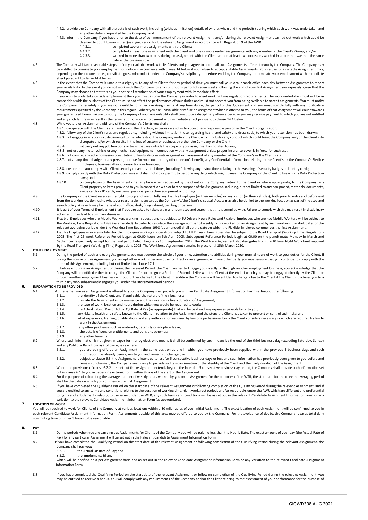4.4.2. provide the Company with all the details of such work, including (without limitation) details of where, when and the period(s) during which such work was undertaken and any other details requested by the Company; and

- 4.4.3. inform the Company if you have prior to the date of commencement of the relevant Assignment and/or during the relevant Assignment carried out work which could be deemed to count towards the Qualifying Period for the relevant Assignment in accordance with Regulation 9 of the AWR:<br>4.4.3.1. completed two or more assignments with the Client:
	-

4.4.3.1. **completed two or more assignments with the Client;**<br>4.4.3.2 **completed at least one assignment with the Client an** 

4.4.3.2. completed at least one assignment with the Client and one or more earlier assignments with any member of the Client's Group; and/or<br>4.4.3.3. worked in more than two roles during an assignment with the Client and o worked in more than two roles during an assignment with the Client and on at least two occasions worked in a role that was not the same role as the previous role.

- 4.5. The Company will take reasonable steps to find you suitable work with its Clients and you agree to accept all such Assignments offered to you by the Company. The Company may may<br>be entitled to terminate your employmen depending on the circumstances, constitute gross misconduct under the Company's disciplinary procedure entitling the Company to terminate your employment with immediate effect pursuant to claus[e 14.4](#page-22-1) below.
- 4.6. In the event that the Company is unable to assign you to any of its Clients for any period of time you must call your local branch office each day between Assignments to report your availability. In the event you do not work with the Company for any continuous period of seven weeks following the end of your last Assignment you expressly agree that the Company may choose to treat this as your notice of termination of your employment with immediate effect.
- 4.7. If you wish to undertake outside employment then you must inform the Company in order to meet working time regulation requirements. The work undertaken must not be in competition with the business of the Client, must not affect the performance of your duties and must not prevent you from being available to accept assignments. You must notify the Company immediately if you are not available to undertake Assignments at any time during the period of this Agreement and you must comply fully with any notification requirements specified by the Company in this regard. Where you are unavailable or refuse an Assignment which is offered to you, the hours of that Assignment will count towards your guaranteed hours. Failure to notify the Company of your unavailability shall constitute a disciplinary offence because you may receive payment to which you are not entitled and any such failure may result in the termination of your employment with immediate effect pursuant to clause 14.4 below.
- 4.8. While you are on Assignment with any of the Company's Clients you shall:
	- .<br>co-operate with the Client's staff and accept the direction, supervision and instruction of any responsible person in the Client's organisation;
	- 4.8.2. follow any of the Client's rules and regulations, including without limitation those regarding health and safety and dress code, to which your attention has been drawn;<br>4.8.3. not engage in any conduct detrimental t
	- disrepute and/or which results in the loss of custom or business by either the Company or the Client; 4.8.4. not carry out any job functions or tasks that are outside the scope of your assignment as notified to you;
	- 4.8.5. not use any motor vehicle or any mechanised equipment in connection with any assignment unless proper insurance cover is in force for such use.
	- 4.8.6. not commit any act or omission constituting unlawful discrimination against or harassment of any member of the Company's or the Client's staff;
	- 4.8.7. not at any time divulge to any person, nor use for your own or any other person's benefit, any Confidential Information relating to the Client's or the Company's Flexible Employees, business affairs, transactions or finances;
		- 4.8.8. ensure that you comply with Client security measures at all times, including following any instructions relating to the wearing of security badges or identity cards;
		- 4.8.9. comply strictly with the Data Protection Laws and shall not do or permit to be done anything which might cause the Company or the Client to breach any Data Protection Laws; and
		- 4.8.10. on completion of the Assignment or at any time when requested by the Client or the Company, return to the Client or where appropriate, to the Company, any Client property or items provided to you in connection with or for the purpose of the Assignment, including, but not limited to any equipment, materials, docu swipe cards or ID cards, uniforms, personal protective equipment or clothing.
- 4.9. The Company or the Client reserves the right to stop and search fully any Flexible Employee (or their vehicles) or any visitor (or their vehicles), both prior to entry and before exit from the working location, using whatever reasonable means are at the Company's/the Client's disposal. Access may also be denied to the working location as part of the stop and search policy. A search may be made of your office, desk, filing cabinet, car, bag or person
- 4.10. It is part of your Terms of Employment that if you are asked to take part in a random stop and search that this is complied with. Failure to comply with this may result in disciplinary action and may lead to summary dismissal.
- 4.11. Flexible Employees who are Mobile Workers working in operations not subject to EU Drivers Hours Rules and Flexible Employees who are not Mobile Workers will be subject to the Working Time Regulations 1998 (as amended). In order to calculate the average number of weekly hours worked on an Assignment by such workers, the start date for the<br>relevant averaging period under the Working Time Regu
- 4.12. Flexible Employees who are mobile Flexible Employees working in operations subject to EU Drivers Hours Rules shall be subject to the Road Transport (Working Time) Regulations 2005. The first 26-week Reference Period began at 00.00 hours on 5th April 2005. Subsequent Reference Periods begin at 00.00 on the penultimate Monday in March and<br>September respectively, except for the final period which by the Road Transport (Working Time) Regulations 2005. The Workforce Agreement remains in place until 15th March 2020.

### **5. OTHER EMPLOYMENT**<br>5.1. During

- During the period of each and every Assignment, you must devote the whole of your time, attention and abilities during your normal hours of work to your duties for the Client. If during the course of this Agreement you accept other work under any other contract or arrangement with any other party you must ensure that you continue to comply with the<br>terms of this Agreement, including but not limited
- <span id="page-21-0"></span>5.2. If, before or during an Assignment or during the Relevant Period, the Client wishes to Engage you directly or through another employment business, you acknowledge that the Company will be entitled either to charge the Client a fee or to agree a Period of Extended Hire with the Client at the end of which you may be engaged directly by the Client or through another employment business without further charge to the Client. In addition the Company will be entitled to charge a fee to the Client if the Client introduces you to a third party who subsequently engages you within the aforementioned periods.

### <span id="page-21-3"></span>**6. INFORMATION TO BE PROVIDED**<br>6.1. At the same time a

- At the same time as an Assignment is offered to you the Company shall provide you with an Candidate Assignment Information Form setting out the following:<br>6.1.1. The identity of the Client, and if applicable the nature of
	- 6.1.1. the identity of the Client, and if applicable the nature of their business;<br>6.1.2. the date the Assignment is to commence and the duration or likely dur-
	- the date the Assignment is to commence and the duration or likely duration of Assignment;
	- 6.1.3. the type of work, location and hours during which you would be required to work;
	- 6.1.4. the Actual Rate of Pay or Actual QP Rate of Pay (as appropriate) that will be paid and any expenses payable by or to you;
	- 6.1.5. any risks to health and safety known to the Client in relation to the Assignment and the steps the Client has taken to prevent or control such risks; and<br>6.1.5. any risks to health and safety known to the Client in what experience, training, qualifications and any authorisation required by law or a professional body the Client considers necessary or which are required by law to
	- work in the Assignment; 6.1.7. any other paid leave such as maternity, paternity or adoption leave;
	-
	- 6.1.8. the details of pension entitlements and pensions schemes;<br>6.1.9. any other benefits. any other benefits
- 6.2. Where such information is not given in paper form or by electronic means it shall be confirmed by such means by the end of the third business day (excluding Saturday, Sunday<br>and any Public or Bank Holiday) following s
	- 6.2.1. you are being offered an Assignment in the same position as one in which you have previously been supplied within the previous 5 business days and such information has already been given to you and remains unchanged; or
	- 6.2.2. subject to claus[e 6.3,](#page-21-1) the Assignment is intended to last for 5 consecutive business days or less and such information has previously been given to you before and remains unchanged, the Company needs only to provide written confirmation of the identity of the Client and the likely duration of the Assignmer
- <span id="page-21-2"></span><span id="page-21-1"></span>6.3. Where the provisions of claus[e 6.2.2](#page-21-2) are met but the Assignment extends beyond the intended 5 consecutive business day period, the Company shall provide such information set (1986). out in claus[e 6.1](#page-21-3) to you in paper or electronic form within 8 days of the start of the Assignment.
- 6.4. For the purpose of calculating the average number of weekly hours worked by you on an Assignment for the purposes of the WTR, the start date for the relevant averaging period<br>shall be the date on which you commence th
- 6.5. If you have completed the Qualifying Period on the start date of the relevant Assignment or following completion of the Qualifying Period during the relevant Assignment, and if you are entitled to any terms and conditions relating to the duration of working time, night work, rest periods and/or rest breaks under the AWR which are different and preferential to rights and entitlements relating to the same under the WTR, any such terms and conditions will be as set out in the relevant Candidate Assignment Information Form or any variation to the relevant Candidate Assignment Information Form (as appropriate).

#### **7. LOCATION OF WORK**

You will be required to work for Clients of the Company at various locations within a 30 mile radius of your initial Assignment. The exact location of each Assignment will be confirmed to you in each relevant Candidate Assignment Information Form. Assignments outside of this area may be offered to you by the Company. For the avoidance of doubt, the Company regards total daily commuting time of under 3 hours to be reasonable

### **8. PAY**

- During periods when you are carrying out Assignments for Clients of the Company you will be paid no less than the Hourly Rate. The exact amount of your pay (the Actual Rate of Pay) for any particular Assignment will be set out in the Relevant Candidate Assignment Information Form.
- 8.2. If you have completed the Qualifying Period on the start date of the relevant Assignment or following completion of the Qualifying Period during the relevant Assignment, the Company shall pay you:<br>8.2.1. the Actual QP Rate of Pay; and
	-
	- 8.2.2. the Emoluments (if any),

which will be notified on a per Assignment basis and as set out in the relevant Candidate Assignment Information Form or any variation to the relevant Candidate Assignment Information Form.

8.3. If you have completed the Qualifying Period on the start date of the relevant Assignment or following completion of the Qualifying Period during the relevant Assignment, you may be entitled to receive a bonus. You will comply with any requirements of the Company and/or the Client relating to the assessment of your performance for the purpose of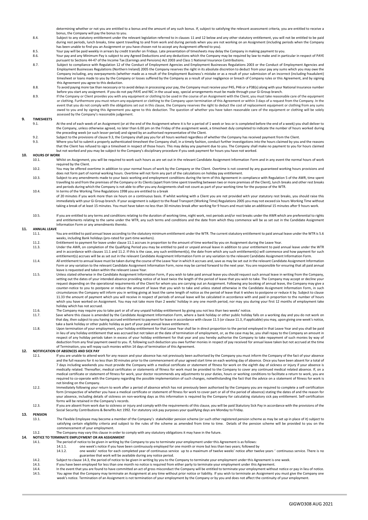determining whether or not you are entitled to a bonus and the amount of any such bonus. If, subject to satisfying the relevant assessment criteria, you are entitled to receive a<br>bonus, the Company will pay the bonus to yo

- 8.4. Subject to any statutory entitlement under the relevant legislation referred to in clause[s 11](#page-22-2) an[d 12](#page-22-3) below and any other statutory entitlement, you will not be entitled to be paid during rest periods, lunch breaks, time spent travelling to and from work and during periods when you are not working on an Assignment (including periods when the Company has been unable to find you an Assignment or you have chosen not to accept any Assignment offered to you).
- 8.5. Your pay will be paid weekly in arrears by credit transfer on Fridays. Late presentation of timesheets may delay the Company in making payment to you.<br>8.6. Your pay and any Minimum Pay is subject to any Agreed Deducti
- Your pay and any Minimum Pay is subject to any Agreed Deductions and any deductions which the Company may be required by law to make and in particular in respect of PAYE pursuant to Sections 44-47 of the Income Tax (Earnings and Pensions) Act 2003 and Class 1 National Insurance Contributions.
- Subject to compliance with Regulation 12 of the Conduct of Employment Agencies and Employment Businesses Regulations 2003 or the Conduct of Employment Agencies and<br>Employment Businesses Regulations (Northern Ireland) 2005 Company including, any overpayments (whether made as a result of the Employment Business's mistake or as a result of your submission of an incorrect (including fraudulent) timesheet or loans made to you by the Company or losses suffered by the Company as a result of your negligence or breach of Company rules or this Agreement, and by signing this Agreement you agree to this deduction.
- 8.8. To avoid paying more tax than necessary or to avoid delays in processing your pay, the Company must receive your P45, P46 or a P38(s) along with your National Insurance number<br>before you start any assignment. If you d
- 8.9. If the Company or Client provides you with any equipment or clothing to be used in the course of an Assignment with the Client, you must take reasonable care of the equipment or clothing. Furthermore you must return any equipment or clothing to the Company upon termination of this Agreement or within 3 days of a request from the Company. In the event that you do not comply with the obligations set out in this clause, the Company reserves the right to deduct the cost of replacement equipment or clothing from any sums owed to you and by signing this Agreement you agree to this deduction. The question of whether you have taken reasonable care of the equipment or clothing will be solely assessed by the Company's reasonable judgement.

#### **9. TIMESHEETS**

- 9.1. At the end of each week of an Assignment (or at the end of the Assignment where it is for a period of 1 week or less or is completed before the end of a week) you shall deliver to the Company, unless otherwise agreed, no later than 6.00 pm on the Friday of the assignment week, a timesheet duly completed to indicate the number of hours worked during the preceding week (or such lesser period) and signed by an authorised representative of the Client.
- 9.2. Subject to the provisions of claus[e 9.3,](#page-22-4) the Company shall pay you for all hours worked regardless of whether the Company has received payment from the Client.
- <span id="page-22-4"></span>9.3. Where you fail to submit a properly authenticated timesheet the Company shall, in a timely fashion, conduct further investigations into the hours claimed by you and the reasons that the Client has refused to sign a timesheet in respect of those hours. This may delay any payment due to you. The Company shall make no payment to you for hours claimed but not worked and you may be subject to the Company's disciplinary procedure if you seek payment for hours you have not worked.

#### **10. HOURS OF WORK**

- 10.1. Whilst on Assignment, you will be required to work such hours as are set out in the relevant Candidate Assignment Information Form and in any event the normal hours of work required by the Client.
- 10.2. You may be offered overtime in addition to your normal hours of work by the Company or the Client. Overtime is not covered by any guaranteed working hours provisions and does not form part of normal working hours. Overtime will not form any part of the calculations on holiday pay entitlement.
- 10.3. Subject to any amendments made to your basic working and employment conditions during the term of this Agreement in compliance with Regulation 5 of the AWR, time spent travelling to and from the premises of the Company or its Clients (apart from time spent travelling between two or more premises of the Client), lunch breaks and other rest breaks and periods during which the Company is not able to offer you any Assignments shall not count as part of your working time for the purpose of the WTR. 10.4. In terms of the Working Time Regulations 1998 you are entitled to a break
- of 20 minutes if you work more than six hours on a continuous basis. If whilst working with a Client you are not provided with your statutory rest breaks, you should raise this immediately with your Gi Group branch. If your assignment is subject to the Road Transport (Working Time) Regulations 2005 you may not exceed six hours Working Time without taking a break of at least 15 minutes. You must have taken no less than 30 minutes break after working for 9 hours and must take an additional 15 minutes after 9 hours work.
- 10.5. If you are entitled to any terms and conditions relating to the duration of working time, night work, rest periods and/or rest breaks under the AWR which are preferential to rights and entitlements relating to the same under the WTR, any such terms and conditions and the date from which they commence will be as set out in the Candidate Assignment Information Form or any amendments thereto.

### <span id="page-22-2"></span>**11. ANNUAL LEAVE**

- You are entitled to paid annual leave according to the statutory minimum entitlement under the WTR. The current statutory entitlement to paid annual leave under the WTR is 5.6 weeks, including Bank holidays (pro-rated for part-time workers).
- <span id="page-22-6"></span><span id="page-22-5"></span>11.2. Entitlement to payment for leave under claus[e 11.1](#page-22-5) accrues in proportion to the amount of time worked by you on Assignment during the Leave Year.
- <span id="page-22-7"></span>Under the AWR, on completion of the Qualifying Period you may be entitled to paid or unpaid annual leave in addition to your entitlement to paid annual leave under the WTR<br>and in accordance with clause[s 11.1](#page-22-5) an[d 11.2.](#page-22-6) If t entitlement(s) accrues will be as set out in the relevant Candidate Assignment Information Form or any variation to the relevant Candidate Assignment Information Form
- 11.4. All entitlement to annual leave must be taken during the course of the Leave Year in which it accrues and, save as may be set out in the relevant Candidate Assignment Information Form or any variation to the relevant Candidate Assignment Information Form, none may be carried forward to the next year. You are responsible for ensuring that all paid annual leave is requested and taken within the relevant Leave Year.
- 11.5. Unless stated otherwise in the Candidate Assignment Information Form, if you wish to take paid annual leave you should request such annual leave in writing from the Company, setting out the dates of your intended absence providing notice of at least twice the length of the period of leave that you wish to take. The Company may accept or decline your request depending on the operational requirements of the Client for whom you are carrying out an Assignment. Following any booking of annual leave, the Company may give a counter-notice to you to postpone or reduce the amount of leave that you wish to take and unless stated otherwise in the Candidate Assignment Information Form, in such circumstances the Company will inform you in writing giving at least the same length of notice as the period of leave that it wishes to postpone or reduce it by. Subject to clause [11.33](#page-22-7) the amount of payment which you will receive in respect of periods of annual leave will be calculated in accordance with and paid in proportion to the number of hours which you have worked on Assignment. You may not take more than 2 weeks' holiday in any one month period, nor may you during your first 12 months of employment take holiday which has not accrued.
- 11.6. The Company may require you to take part or all of any unpaid holiday entitlement by giving you not less than two weeks' notice.<br>11.7. Save where this clause is amended by the Candidate Assignment Information Form, w
- <span id="page-22-8"></span>Save where this clause is amended by the Candidate Assignment Information Form, where a bank holiday or other public holiday falls on a working day and you do not work on that day, then subject to you having accrued entitlement to payment for leave in accordance with claus[e 11.5](#page-22-8) (or claus[e 11.3,](#page-22-7) if applicable) you may, upon giving one week's notice, take a bank holiday or other public holiday as part of your paid annual leave entitlement.
- Upon termination of your employment, your holiday entitlement for that Leave Year shall be in direct proportion to the period employed in that Leave Year and you shall be paid<br>in lieu of any holiday entitlement that was ac respect of any holiday periods taken in excess of your holiday entitlement for that year and you hereby authorise the Company to take repayment of such monies by way of deduction from any final payment owed to you. If, following such deduction you owe further monies in respect of pay received for annual leave taken but not accrued at the time of Termination, you will repay such monies within 14 days of termination of this Agreement.

#### <span id="page-22-3"></span>**12. NOTIFICATION OF ABSENCES AND SICK PAY**

- 12.1. If you are unable to attend work for any reason and your absence has not previously been authorised by the Company you must inform the Company of the fact of your absence and the full reasons for it no less than 30 minutes prior to the commencement of your agreed start time on each working day of absence. Once you have been absent for a total of 7 days including weekends you must provide the Company with a medical certificate or statement of fitness for work on the eighth day of sickness or injury if your absence is<br>medically related. Thereafter, medical certifica medical certificate or statement of fitness for work, your doctor recommends any adjustments to your duties, hours or working conditions to facilitate a return to work, you are required to co-operate with the Company regarding the possible implementation of such changes, notwithstanding the fact that the advice on a statement of fitness for work is not binding on the Company.
- 12.2. Immediately following your return to work after a period of absence which has not previously been authorised by the Company you are required to complete a self-certification form (irrespective of whether you have a medical certificate or statement of fitness for work to cover part or all of the period of absence) stating the dates of and the reason for your absence, including details of sickness on non-working days as this information is required by the Company for calculating statutory sick pay entitlement. Self-certification forms will be retained in the Company's records.
- 12.3. If you are absent from work due to sickness or injury and comply with the requirements of this clause, you will be paid Statutory Sick Pay in accordance with the provisions of the Social Security Contributions & Benefits Act 1992. For statutory sick pay purposes your qualifying days are Monday to Friday.

### **13. PENSION**

- The Flexible Employee may become a member of the Company's stakeholder pension scheme (or such other registered pension scheme as may be set up in place of it) subject to satisfying certain eligibility criteria and subject to the rules of the scheme as amended from time to time. Details of the pension scheme will be provided to you on the commencement of your employment.
- 13.2. The Company may vary this clause in order to comply with any statutory obligations it may have in the future.

### <span id="page-22-0"></span>**14. NOTICE TO TERMINATE EMPLOYMENT OR AN ASSIGNMENT**<br>14.1. The period of notice to be given in writing by

- The period of notice to be given in writing by the Company to you to terminate your employment under this Agreement is as follows:
- 
- 14.1.1. One week's notice if you have been continuously employed for one month or more but less than two years; followed by<br>14.1.2. One weeks' notice for each completed year of continuous service up to a maximum of twelve guarantee that work will be available during any notice period.
- 
- <span id="page-22-9"></span>14.2. Subject to claus[e 14.3,](#page-22-9) the period of notice to be given in writing by you to the Company to terminate your employment under this Agreement is one week<br>14.3. If you have been employed for less than one month no notic 14.3. If you have been employed for less than one month no notice is required from either party to terminate your employment under this Agreement.<br>14.4 In the event that you are found to have committed an act of gross misc
- <span id="page-22-1"></span>I4.4. In the event that you are found to have committed an act of gross misconduct the Company will be entitled to terminate your employment without notice or pay in lieu of notice.<br>14.5. You agree that the Company may ter week's notice. Termination of an Assignment is not termination of your employment by the Company or by you and does not affect the continuity of your employment.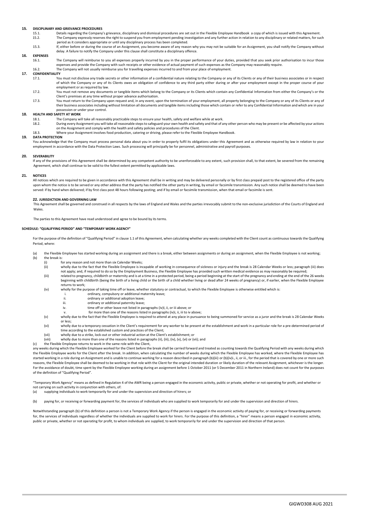### **15. DISCIPLINARY AND GRIEVANCE PROCEDURES**

- 15.1. Details regarding the Company's grievance, disciplinary and dismissal procedures are set out in the Flexible Employee Handbook a copy of which is issued with this Agreement.<br>15.2 The Company expressly reserves the ri The Company expressly reserves the right to suspend you from employment pending investigation and any further action in relation to any disciplinary or related matters, for such
	- period as it considers appropriate or until any disciplinary process has been completed.
- 15.3. If, either before or during the course of an Assignment, you become aware of any reason why you may not be suitable for an Assignment, you shall notify the Company without delay. A failure to notify the Company under this clause shall constitute a disciplinary offence.

### **16. EXPENSES**

The Company will reimburse to you all expenses properly incurred by you in the proper performance of your duties, provided that you seek prior authorisation to incur those expenses and provide the Company with such receipts or other evidence of actual payment of such expenses as the Company may reasonably require. 16.2. The Company will not usually reimburse you for travelling expenses incurred to and from your place of employment.

### **17. CONFIDENTIALITY**

- You must not disclose any trade secrets or other information of a confidential nature relating to the Company or any of its Clients or any of their business associates or in respect of which the Company or any of its Clients owes an obligation of confidence to any third party either during or after your employment except in the proper course of your employment or as required by law.
- 17.2. You must not remove any documents or tangible items which belong to the Company or its Clients which contain any Confidential Information from either the Company's or the Client's premises at any time without proper advance authorisation.
- 17.3. You must return to the Company upon request and, in any event, upon the termination of your employment, all property belonging to the Company or any of its Clients or any of their business associates including without limitation all documents and tangible items including those which contain or refer to any Confidential Information and which are in your possession or under your control.

### **18. HEALTH AND SAFETY AT WORK**<br>18.1 **The Company w**

- The Company will take all reasonably practicable steps to ensure your health, safety and welfare while at work.
- 18.2. During every Assignment you will take all reasonable steps to safeguard your own health and safety and that of any other person who may be present or be affected by your actions on the Assignment and comply with the examples and the Assignment and comply with the health and safety policies and procedures of the Client.
- 18.3. Where your Assignment involves food production, catering or driving, please refer to the Flexible Employee Handbook.

#### **19. DATA PROTECTION**

You acknowledge that the Company must process personal data about you in order to properly fulfil its obligations under this Agreement and as otherwise required by law in relation to your employment in accordance with the Data Protection Laws. Such processing will principally be for personnel, administrative and payroll purposes.

#### **20. SEVERABILITY**

If any of the provisions of this Agreement shall be determined by any competent authority to be unenforceable to any extent, such provision shall, to that extent, be severed from the remaining Agreement, which shall continue to be valid to the fullest extent permitted by applicable laws.

#### **21. NOTICES**

All notices which are required to be given in accordance with this Agreement shall be in writing and may be delivered personally or by first class prepaid post to the registered office of the party upon whom the notice is to be served or any other address that the party has notified the other party in writing, by email or facsimile transmission. Any such notice shall be deemed to have been served: if by hand when delivered; if by first class post 48 hours following posting; and if by email or facsimile transmission, when that email or facsimile is sent.

#### **22. JURISDICTION AND GOVERNING LAW**

This Agreement shall be governed and construed in all respects by the laws of England and Wales and the parties irrevocably submit to the non-exclusive jurisdiction of the Courts of England and Wales.

The parties to this Agreement have read understood and agree to be bound by its terms.

#### **SCHEDULE: "QUALIFYING PERIOD" AND "TEMPORARY WORK AGENCY"**

For the purpose of the definition of "Qualifying Period" in clause [1.1](#page-19-0) of this Agreement, when calculating whether any weeks completed with the Client count as continuous towards the Qualifying Period, where:

- (a) the Flexible Employee has started working during an assignment and there is a break, either between assignments or during an assignment, when the Flexible Employee is not working; (b) the break is
	-
	- (i) for any reason and not more than six Calendar Weeks;<br>(ii) wholly due to the fact that the Flexible Employee is inc wholly due to the fact that the Flexible Employee is incapable of working in consequence of sickness or injury and the break is 28 Calendar Weeks or less; paragraph (iii) does not apply; and, if required to do so by the Employment Business, the Flexible Employee has provided such written medical evidence as may reasonably be required;
	- (iii) related to pregnancy, childbirth or maternity and is at a time in a protected period, being a period beginning at the start of the pregnancy and ending at the end of the 26 weeks beginning with childbirth (being the birth of a living child or the birth of a child whether living or dead after 24 weeks of pregnancy) or, if earlier, when the Flexible Employee returns to work;
	- (iv) wholly for the purpose of taking time off or leave, whether statutory or contractual, to which the Flexible Employee is otherwise entitled which is<br>ordinary compulsory or additional maternity leave:
		- ordinary, compulsory or additional maternity leave;
		- ii. ordinary or additional adoption leave;
		- iii. ordinary or additional paternity leave;<br>iv. time off or other leave not listed in pa
			- time off or other leave not listed in paragraphs (iv)I, ii, or iii above; or
			- for more than one of the reasons listed in paragraphs (iv)i, ii, iii to iv above;
	- (v) wholly due to the fact that the Flexible Employee is required to attend at any place in pursuance to being summoned for service as a juror and the break is 28 Calendar Weeks or less;
	- (vi) wholly due to a temporary cessation in the Client's requirement for any worker to be present at the establishment and work in a particular role for a pre-determined period of time according to the established custom and practices of the Client;
	- (vii) wholly due to a strike, lock-out or other industrial action at the Client's establishment; or
	- (viii) wholly due to more than one of the reasons listed in paragraphs (ii), (iii), (iv), (v), (vi) or (vii); and
- (c) the Flexible Employee returns to work in the same role with the Client,

any weeks during which the Flexible Employee worked for the Client before the break shall be carried forward and treated as counting towards the Qualifying Period with any weeks during which the Flexible Employee works for the Client after the break. In addition, when calculating the number of weeks during which the Flexible Employee has worked, where the Flexible Employee has started working in a role during an Assignment and is unable to continue working for a reason described in paragraph (b)(iii) or (b)(iv)i., ii, or iii., for the period that is covered by one or more such reasons, the Flexible Employee shall be deemed to be working in that role with the Client for the original intended duration or likely duration of the relevant Assignment, whichever is the longer. For the avoidance of doubt, time spent by the Flexible Employee working during an assignment before 1 October 2011 (or 5 December 2011 in Northern Ireland) does not count for the purposes of the definition of "Qualifying Period".

"Temporary Work Agency" means as defined in Regulation 4 of the AWR being a person engaged in the economic activity, public or private, whether or not operating for profit, and whether or not carrying on such activity in conjunction with others, of:<br>(a) supplying individuals to work temporarily for and un

supplying individuals to work temporarily for and under the supervision and direction of hirers; or

(b) paying for, or receiving or forwarding payment for, the services of individuals who are supplied to work temporarily for and under the supervision and direction of hirers.

Notwithstanding paragraph (b) of this definition a person is not a Temporary Work Agency if the person is engaged in the economic activity of paying for, or receiving or forwarding payments for, the services of individuals regardless of whether the individuals are supplied to work for hirers. For the purpose of this definition, a "hirer" means a person engaged in economic activity, public or private, whether or not operating for profit, to whom individuals are supplied, to work temporarily for and under the supervision and direction of that person.